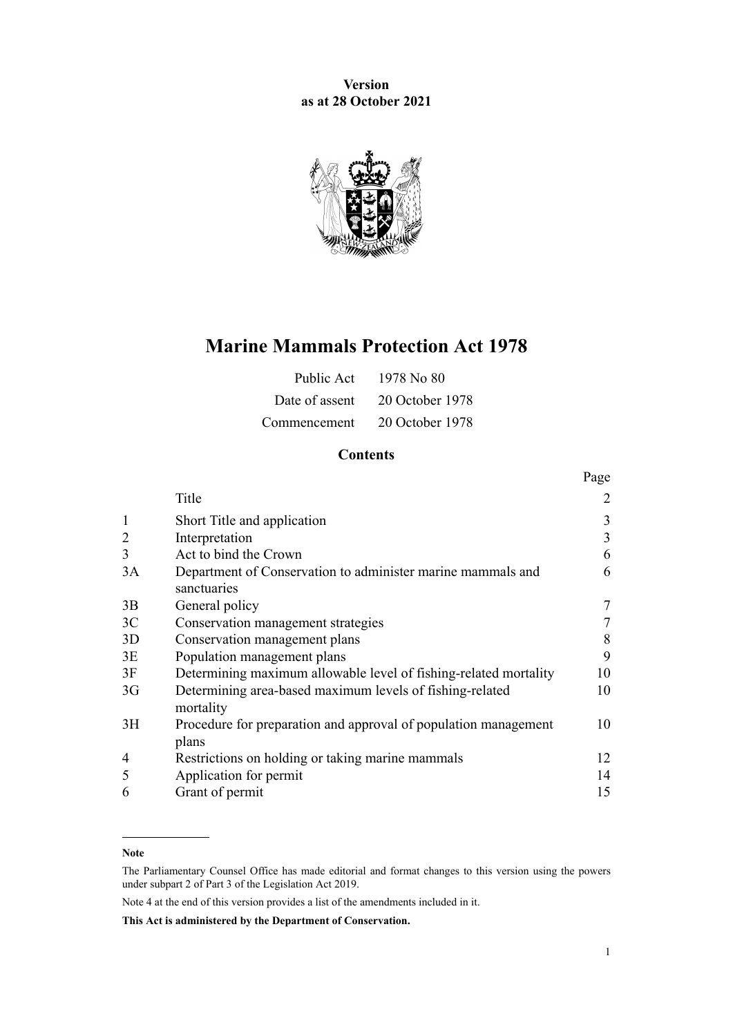**Version as at 28 October 2021**



# **Marine Mammals Protection Act 1978**

| Public Act     | 1978 No 80      |
|----------------|-----------------|
| Date of assent | 20 October 1978 |
| Commencement   | 20 October 1978 |

## **Contents**

|                |                                                                          | Page |
|----------------|--------------------------------------------------------------------------|------|
|                | Title                                                                    | 2    |
|                | Short Title and application                                              | 3    |
|                | Interpretation                                                           | 3    |
| 3              | Act to bind the Crown                                                    | 6    |
| 3A             | Department of Conservation to administer marine mammals and              | 6    |
|                | sanctuaries                                                              |      |
| 3B             | General policy                                                           | 7    |
| 3 <sup>C</sup> | Conservation management strategies                                       | 7    |
| 3D             | Conservation management plans                                            | 8    |
| 3E             | Population management plans                                              | 9    |
| 3F             | Determining maximum allowable level of fishing-related mortality         | 10   |
| 3 <sub>G</sub> | Determining area-based maximum levels of fishing-related<br>mortality    | 10   |
| 3H             | Procedure for preparation and approval of population management<br>plans | 10   |
| 4              | Restrictions on holding or taking marine mammals                         | 12   |
| 5              | Application for permit                                                   | 14   |
| 6              | Grant of permit                                                          | 15   |

#### **Note**

Note 4 at the end of this version provides a list of the amendments included in it.

**This Act is administered by the Department of Conservation.**

The Parliamentary Counsel Office has made editorial and format changes to this version using the powers under [subpart 2](http://legislation.govt.nz/pdflink.aspx?id=DLM7298371) of Part 3 of the Legislation Act 2019.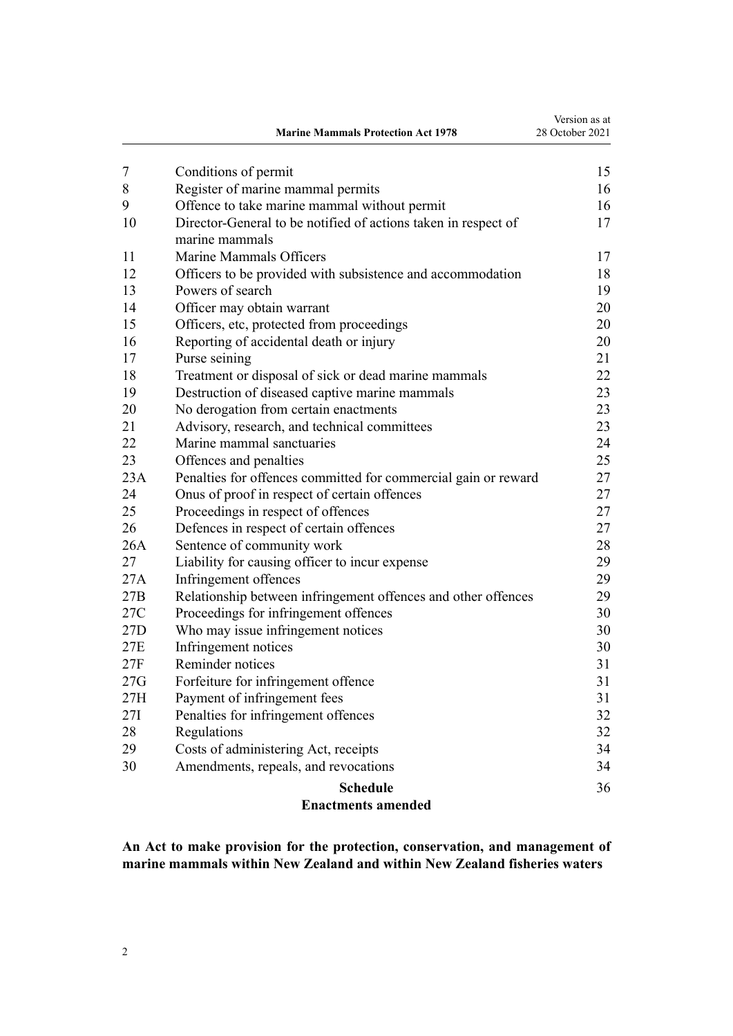<span id="page-1-0"></span>

|     | <b>Marine Mammals Protection Act 1978</b>                                        | Version as at<br>28 October 2021 |
|-----|----------------------------------------------------------------------------------|----------------------------------|
| 7   | Conditions of permit                                                             | 15                               |
| 8   | Register of marine mammal permits                                                | 16                               |
| 9   | Offence to take marine mammal without permit                                     | 16                               |
| 10  | Director-General to be notified of actions taken in respect of<br>marine mammals | 17                               |
| 11  | Marine Mammals Officers                                                          | 17                               |
| 12  | Officers to be provided with subsistence and accommodation                       | 18                               |
| 13  | Powers of search                                                                 | 19                               |
| 14  | Officer may obtain warrant                                                       | 20                               |
| 15  | Officers, etc, protected from proceedings                                        | 20                               |
| 16  | Reporting of accidental death or injury                                          | 20                               |
| 17  | Purse seining                                                                    | 21                               |
| 18  | Treatment or disposal of sick or dead marine mammals                             | 22                               |
| 19  | Destruction of diseased captive marine mammals                                   | 23                               |
| 20  | No derogation from certain enactments                                            | 23                               |
| 21  | Advisory, research, and technical committees                                     | 23                               |
| 22  | Marine mammal sanctuaries                                                        | 24                               |
| 23  | Offences and penalties                                                           | 25                               |
| 23A | Penalties for offences committed for commercial gain or reward                   | 27                               |
| 24  | Onus of proof in respect of certain offences                                     | 27                               |
| 25  | Proceedings in respect of offences                                               | 27                               |
| 26  | Defences in respect of certain offences                                          | 27                               |
| 26A | Sentence of community work                                                       | 28                               |
| 27  | Liability for causing officer to incur expense                                   | 29                               |
| 27A | Infringement offences                                                            | 29                               |
| 27B | Relationship between infringement offences and other offences                    | 29                               |
| 27C | Proceedings for infringement offences                                            | 30                               |
| 27D | Who may issue infringement notices                                               | 30                               |
| 27E | Infringement notices                                                             | 30                               |
| 27F | Reminder notices                                                                 | 31                               |
| 27G | Forfeiture for infringement offence                                              | 31                               |
| 27H | Payment of infringement fees                                                     | 31                               |
| 27I | Penalties for infringement offences                                              | 32                               |
| 28  | Regulations                                                                      | 32                               |
| 29  | Costs of administering Act, receipts                                             | 34                               |
| 30  | Amendments, repeals, and revocations                                             | 34                               |
|     | <b>Schedule</b>                                                                  | 36                               |
|     | <b>Enactments amended</b>                                                        |                                  |

**An Act to make provision for the protection, conservation, and management of marine mammals within New Zealand and within New Zealand fisheries waters**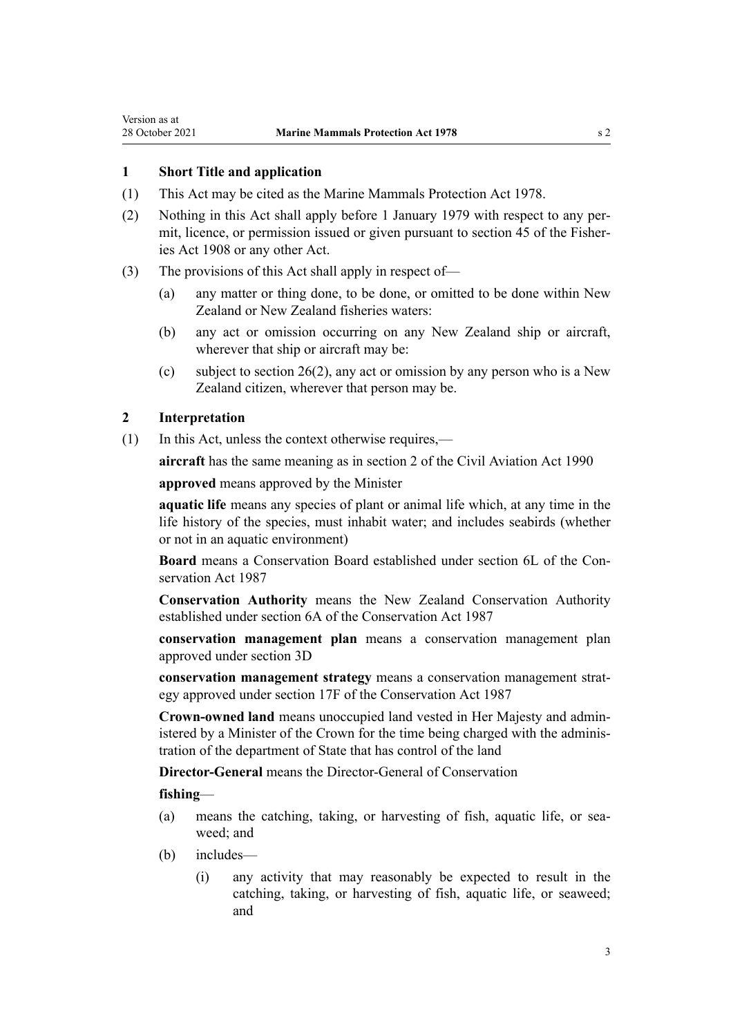### <span id="page-2-0"></span>**1 Short Title and application**

- (1) This Act may be cited as the Marine Mammals Protection Act 1978.
- (2) Nothing in this Act shall apply before 1 January 1979 with respect to any per‐ mit, licence, or permission issued or given pursuant to section 45 of the Fisheries Act 1908 or any other Act.
- (3) The provisions of this Act shall apply in respect of—
	- (a) any matter or thing done, to be done, or omitted to be done within New Zealand or New Zealand fisheries waters:
	- (b) any act or omission occurring on any New Zealand ship or aircraft, wherever that ship or aircraft may be:
	- (c) subject to [section 26\(2\),](#page-26-0) any act or omission by any person who is a New Zealand citizen, wherever that person may be.

### **2 Interpretation**

(1) In this Act, unless the context otherwise requires,—

**aircraft** has the same meaning as in [section 2](http://legislation.govt.nz/pdflink.aspx?id=DLM214692) of the Civil Aviation Act 1990

**approved** means approved by the Minister

**aquatic life** means any species of plant or animal life which, at any time in the life history of the species, must inhabit water; and includes seabirds (whether or not in an aquatic environment)

**Board** means a Conservation Board established under [section 6L](http://legislation.govt.nz/pdflink.aspx?id=DLM104213) of the Con‐ servation Act 1987

**Conservation Authority** means the New Zealand Conservation Authority established under [section 6A](http://legislation.govt.nz/pdflink.aspx?id=DLM104086) of the Conservation Act 1987

**conservation management plan** means a conservation management plan approved under [section 3D](#page-7-0)

**conservation management strategy** means a conservation management strat‐ egy approved under [section 17F](http://legislation.govt.nz/pdflink.aspx?id=DLM104608) of the Conservation Act 1987

**Crown-owned land** means unoccupied land vested in Her Majesty and admin‐ istered by a Minister of the Crown for the time being charged with the adminis‐ tration of the department of State that has control of the land

**Director-General** means the Director-General of Conservation

**fishing**—

- (a) means the catching, taking, or harvesting of fish, aquatic life, or seaweed; and
- (b) includes—
	- (i) any activity that may reasonably be expected to result in the catching, taking, or harvesting of fish, aquatic life, or seaweed; and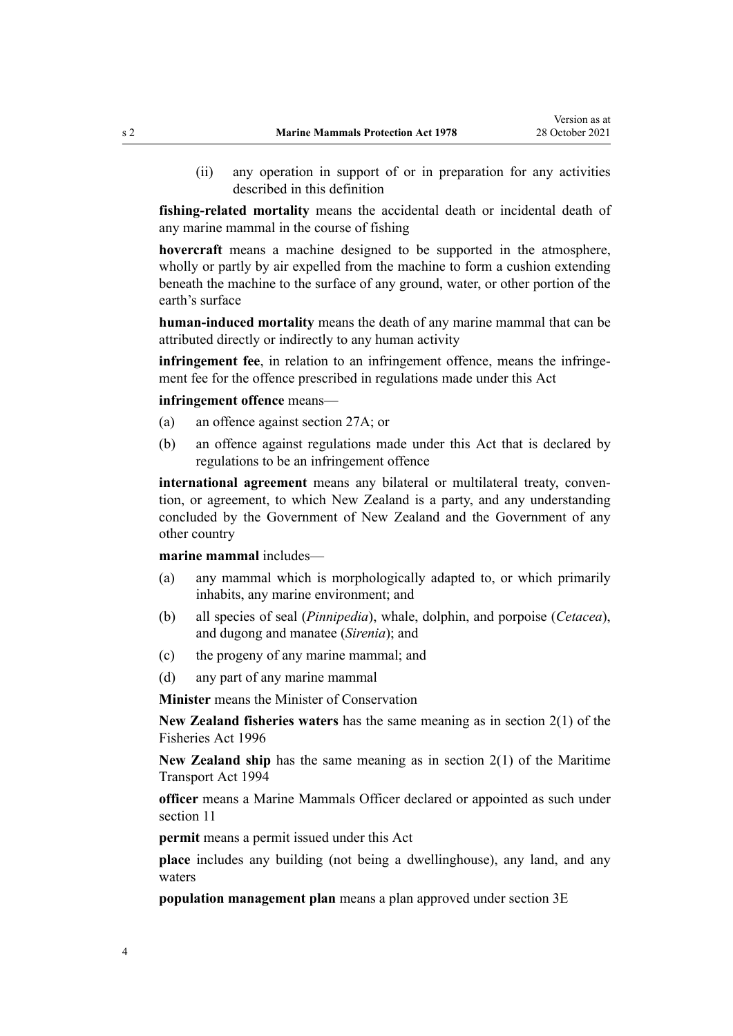(ii) any operation in support of or in preparation for any activities described in this definition

**fishing-related mortality** means the accidental death or incidental death of any marine mammal in the course of fishing

**hovercraft** means a machine designed to be supported in the atmosphere, wholly or partly by air expelled from the machine to form a cushion extending beneath the machine to the surface of any ground, water, or other portion of the earth's surface

**human-induced mortality** means the death of any marine mammal that can be attributed directly or indirectly to any human activity

**infringement fee**, in relation to an infringement offence, means the infringement fee for the offence prescribed in regulations made under this Act

**infringement offence** means—

- (a) an offence against [section 27A;](#page-28-0) or
- (b) an offence against regulations made under this Act that is declared by regulations to be an infringement offence

international agreement means any bilateral or multilateral treaty, convention, or agreement, to which New Zealand is a party, and any understanding concluded by the Government of New Zealand and the Government of any other country

**marine mammal** includes—

- (a) any mammal which is morphologically adapted to, or which primarily inhabits, any marine environment; and
- (b) all species of seal (*Pinnipedia*), whale, dolphin, and porpoise (*Cetacea*), and dugong and manatee (*Sirenia*); and
- (c) the progeny of any marine mammal; and
- (d) any part of any marine mammal

**Minister** means the Minister of Conservation

**New Zealand fisheries waters** has the same meaning as in [section 2\(1\)](http://legislation.govt.nz/pdflink.aspx?id=DLM394199) of the Fisheries Act 1996

**New Zealand ship** has the same meaning as in [section 2\(1\)](http://legislation.govt.nz/pdflink.aspx?id=DLM334667) of the Maritime Transport Act 1994

**officer** means a Marine Mammals Officer declared or appointed as such under [section 11](#page-16-0)

**permit** means a permit issued under this Act

**place** includes any building (not being a dwellinghouse), any land, and any waters

**population management plan** means a plan approved under [section 3E](#page-8-0)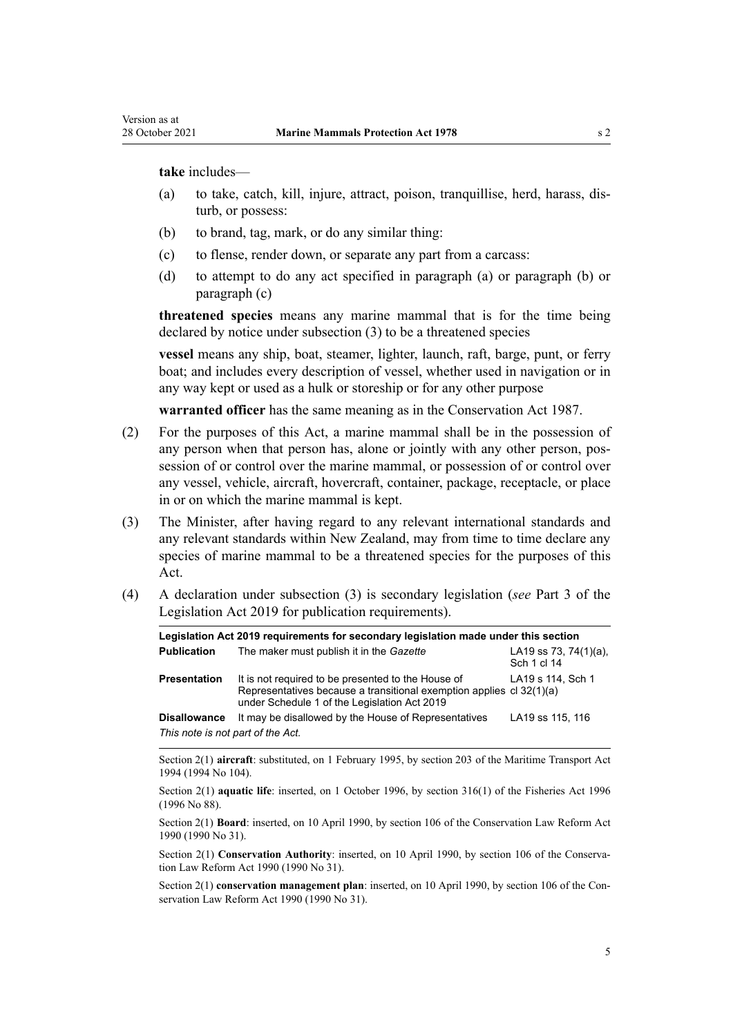**take** includes—

- (a) to take, catch, kill, injure, attract, poison, tranquillise, herd, harass, dis‐ turb, or possess:
- (b) to brand, tag, mark, or do any similar thing:
- (c) to flense, render down, or separate any part from a carcass:
- (d) to attempt to do any act specified in paragraph (a) or paragraph (b) or paragraph (c)

**threatened species** means any marine mammal that is for the time being declared by notice under subsection (3) to be a threatened species

**vessel** means any ship, boat, steamer, lighter, launch, raft, barge, punt, or ferry boat; and includes every description of vessel, whether used in navigation or in any way kept or used as a hulk or storeship or for any other purpose

**warranted officer** has the same meaning as in the [Conservation Act 1987.](http://legislation.govt.nz/pdflink.aspx?id=DLM103609)

- (2) For the purposes of this Act, a marine mammal shall be in the possession of any person when that person has, alone or jointly with any other person, possession of or control over the marine mammal, or possession of or control over any vessel, vehicle, aircraft, hovercraft, container, package, receptacle, or place in or on which the marine mammal is kept.
- (3) The Minister, after having regard to any relevant international standards and any relevant standards within New Zealand, may from time to time declare any species of marine mammal to be a threatened species for the purposes of this Act.
- (4) A declaration under subsection (3) is secondary legislation (*see* [Part 3](http://legislation.govt.nz/pdflink.aspx?id=DLM7298343) of the Legislation Act 2019 for publication requirements).

|                                   | Legislation Act 2019 requirements for secondary legislation made under this section                                                                                        |                                          |
|-----------------------------------|----------------------------------------------------------------------------------------------------------------------------------------------------------------------------|------------------------------------------|
| <b>Publication</b>                | The maker must publish it in the Gazette                                                                                                                                   | LA19 ss 73, 74 $(1)(a)$ ,<br>Sch 1 cl 14 |
| <b>Presentation</b>               | It is not required to be presented to the House of<br>Representatives because a transitional exemption applies cl 32(1)(a)<br>under Schedule 1 of the Legislation Act 2019 | LA19 s 114, Sch 1                        |
| <b>Disallowance</b>               | It may be disallowed by the House of Representatives                                                                                                                       | LA19 ss 115, 116                         |
| This note is not part of the Act. |                                                                                                                                                                            |                                          |

Section 2(1) **aircraft**: substituted, on 1 February 1995, by [section 203](http://legislation.govt.nz/pdflink.aspx?id=DLM336920) of the Maritime Transport Act 1994 (1994 No 104).

Section 2(1) **aquatic life**: inserted, on 1 October 1996, by [section 316\(1\)](http://legislation.govt.nz/pdflink.aspx?id=DLM399975) of the Fisheries Act 1996 (1996 No 88).

Section 2(1) **Board**: inserted, on 10 April 1990, by [section 106](http://legislation.govt.nz/pdflink.aspx?id=DLM209173) of the Conservation Law Reform Act 1990 (1990 No 31).

Section 2(1) **Conservation Authority**: inserted, on 10 April 1990, by [section 106](http://legislation.govt.nz/pdflink.aspx?id=DLM209173) of the Conservation Law Reform Act 1990 (1990 No 31).

Section 2(1) **conservation management plan**: inserted, on 10 April 1990, by [section 106](http://legislation.govt.nz/pdflink.aspx?id=DLM209173) of the Conservation Law Reform Act 1990 (1990 No 31).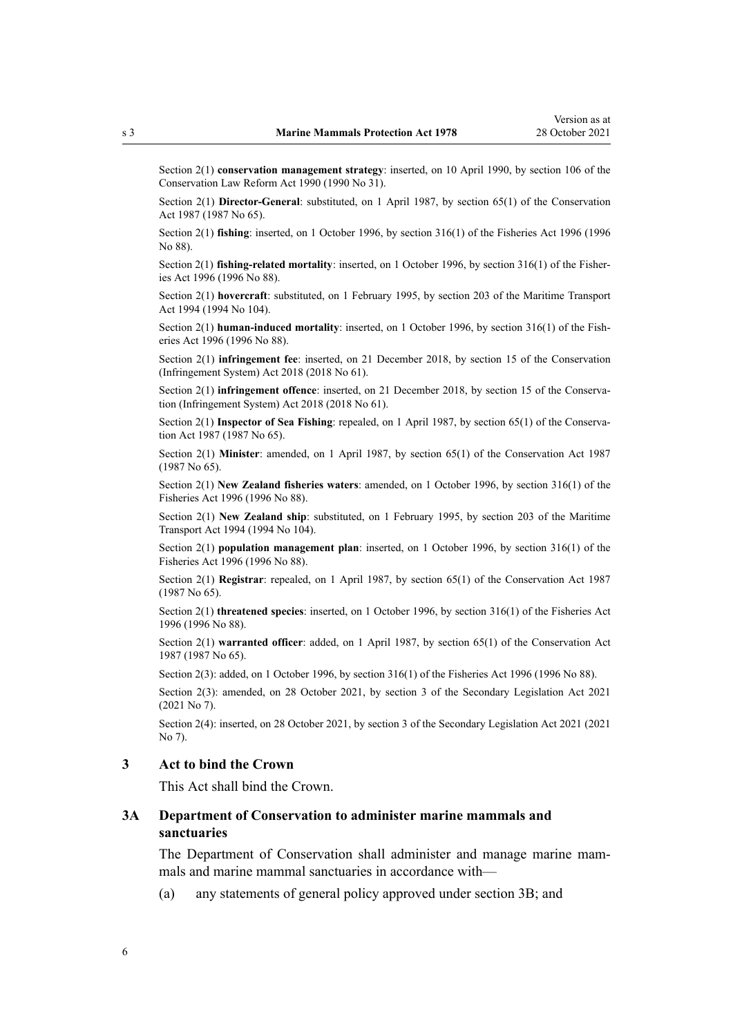<span id="page-5-0"></span>Section 2(1) **conservation management strategy**: inserted, on 10 April 1990, by [section 106](http://legislation.govt.nz/pdflink.aspx?id=DLM209173) of the Conservation Law Reform Act 1990 (1990 No 31).

Section 2(1) **Director-General**: substituted, on 1 April 1987, by [section 65\(1\)](http://legislation.govt.nz/pdflink.aspx?id=DLM106995) of the Conservation Act 1987 (1987 No 65).

Section 2(1) **fishing**: inserted, on 1 October 1996, by [section 316\(1\)](http://legislation.govt.nz/pdflink.aspx?id=DLM399975) of the Fisheries Act 1996 (1996 No 88).

Section 2(1) **fishing-related mortality**: inserted, on 1 October 1996, by [section 316\(1\)](http://legislation.govt.nz/pdflink.aspx?id=DLM399975) of the Fisheries Act 1996 (1996 No 88).

Section 2(1) **hovercraft**: substituted, on 1 February 1995, by [section 203](http://legislation.govt.nz/pdflink.aspx?id=DLM336920) of the Maritime Transport Act 1994 (1994 No 104).

Section 2(1) **human-induced mortality**: inserted, on 1 October 1996, by [section 316\(1\)](http://legislation.govt.nz/pdflink.aspx?id=DLM399975) of the Fish‐ eries Act 1996 (1996 No 88).

Section 2(1) **infringement fee**: inserted, on 21 December 2018, by [section 15](http://legislation.govt.nz/pdflink.aspx?id=DLM7116189) of the Conservation (Infringement System) Act 2018 (2018 No 61).

Section 2(1) **infringement offence**: inserted, on 21 December 2018, by [section 15](http://legislation.govt.nz/pdflink.aspx?id=DLM7116189) of the Conservation (Infringement System) Act 2018 (2018 No 61).

Section 2(1) **Inspector of Sea Fishing**: repealed, on 1 April 1987, by [section 65\(1\)](http://legislation.govt.nz/pdflink.aspx?id=DLM106995) of the Conservation Act 1987 (1987 No 65).

Section 2(1) **Minister**: amended, on 1 April 1987, by [section 65\(1\)](http://legislation.govt.nz/pdflink.aspx?id=DLM106995) of the Conservation Act 1987 (1987 No 65).

Section 2(1) **New Zealand fisheries waters**: amended, on 1 October 1996, by [section 316\(1\)](http://legislation.govt.nz/pdflink.aspx?id=DLM399975) of the Fisheries Act 1996 (1996 No 88).

Section 2(1) **New Zealand ship**: substituted, on 1 February 1995, by [section 203](http://legislation.govt.nz/pdflink.aspx?id=DLM336920) of the Maritime Transport Act 1994 (1994 No 104).

Section 2(1) **population management plan**: inserted, on 1 October 1996, by [section 316\(1\)](http://legislation.govt.nz/pdflink.aspx?id=DLM399975) of the Fisheries Act 1996 (1996 No 88).

Section 2(1) **Registrar**: repealed, on 1 April 1987, by [section 65\(1\)](http://legislation.govt.nz/pdflink.aspx?id=DLM106995) of the Conservation Act 1987 (1987 No 65).

Section 2(1) **threatened species**: inserted, on 1 October 1996, by [section 316\(1\)](http://legislation.govt.nz/pdflink.aspx?id=DLM399975) of the Fisheries Act 1996 (1996 No 88).

Section 2(1) **warranted officer**: added, on 1 April 1987, by [section 65\(1\)](http://legislation.govt.nz/pdflink.aspx?id=DLM106995) of the Conservation Act 1987 (1987 No 65).

Section 2(3): added, on 1 October 1996, by [section 316\(1\)](http://legislation.govt.nz/pdflink.aspx?id=DLM399975) of the Fisheries Act 1996 (1996 No 88).

Section 2(3): amended, on 28 October 2021, by [section 3](http://legislation.govt.nz/pdflink.aspx?id=LMS268932) of the Secondary Legislation Act 2021 (2021 No 7).

Section 2(4): inserted, on 28 October 2021, by [section 3](http://legislation.govt.nz/pdflink.aspx?id=LMS268932) of the Secondary Legislation Act 2021 (2021 No 7).

### **3 Act to bind the Crown**

This Act shall bind the Crown.

### **3A Department of Conservation to administer marine mammals and sanctuaries**

The Department of Conservation shall administer and manage marine mammals and marine mammal sanctuaries in accordance with—

(a) any statements of general policy approved under [section 3B](#page-6-0); and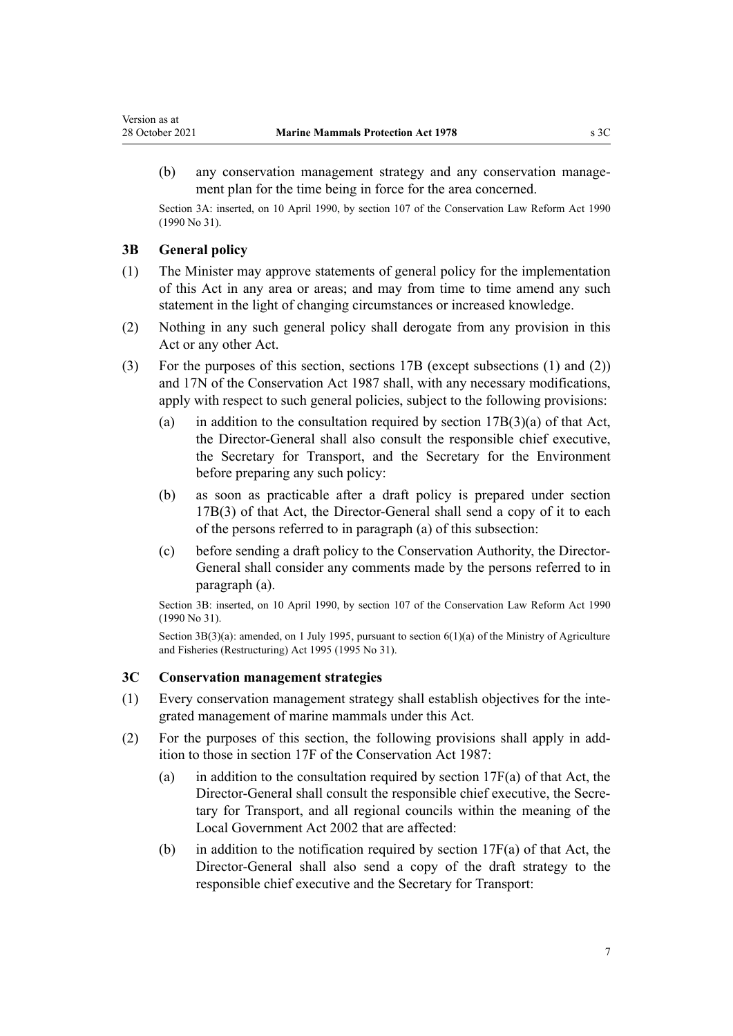(b) any conservation management strategy and any conservation manage‐ ment plan for the time being in force for the area concerned.

Section 3A: inserted, on 10 April 1990, by [section 107](http://legislation.govt.nz/pdflink.aspx?id=DLM209182) of the Conservation Law Reform Act 1990 (1990 No 31).

### **3B General policy**

<span id="page-6-0"></span>Version as at

- (1) The Minister may approve statements of general policy for the implementation of this Act in any area or areas; and may from time to time amend any such statement in the light of changing circumstances or increased knowledge.
- (2) Nothing in any such general policy shall derogate from any provision in this Act or any other Act.
- (3) For the purposes of this section, [sections 17B](http://legislation.govt.nz/pdflink.aspx?id=DLM104294) (except subsections (1) and (2)) and [17N](http://legislation.govt.nz/pdflink.aspx?id=DLM104629) of the Conservation Act 1987 shall, with any necessary modifications, apply with respect to such general policies, subject to the following provisions:
	- (a) in addition to the consultation required by section  $17B(3)(a)$  of that Act, the Director-General shall also consult the responsible chief executive, the Secretary for Transport, and the Secretary for the Environment before preparing any such policy:
	- (b) as soon as practicable after a draft policy is prepared under [section](http://legislation.govt.nz/pdflink.aspx?id=DLM104294) [17B\(3\)](http://legislation.govt.nz/pdflink.aspx?id=DLM104294) of that Act, the Director-General shall send a copy of it to each of the persons referred to in paragraph (a) of this subsection:
	- (c) before sending a draft policy to the Conservation Authority, the Director-General shall consider any comments made by the persons referred to in paragraph (a).

Section 3B: inserted, on 10 April 1990, by [section 107](http://legislation.govt.nz/pdflink.aspx?id=DLM209182) of the Conservation Law Reform Act 1990 (1990 No 31).

Section 3B(3)(a): amended, on 1 July 1995, pursuant to [section 6\(1\)\(a\)](http://legislation.govt.nz/pdflink.aspx?id=DLM366838) of the Ministry of Agriculture and Fisheries (Restructuring) Act 1995 (1995 No 31).

### **3C Conservation management strategies**

- (1) Every conservation management strategy shall establish objectives for the inte‐ grated management of marine mammals under this Act.
- (2) For the purposes of this section, the following provisions shall apply in add‐ ition to those in [section 17F](http://legislation.govt.nz/pdflink.aspx?id=DLM104608) of the Conservation Act 1987:
	- (a) in addition to the consultation required by section  $17F(a)$  of that Act, the Director-General shall consult the responsible chief executive, the Secretary for Transport, and all regional councils within the meaning of the [Local Government Act 2002](http://legislation.govt.nz/pdflink.aspx?id=DLM170872) that are affected:
	- (b) in addition to the notification required by section  $17F(a)$  of that Act, the Director-General shall also send a copy of the draft strategy to the responsible chief executive and the Secretary for Transport: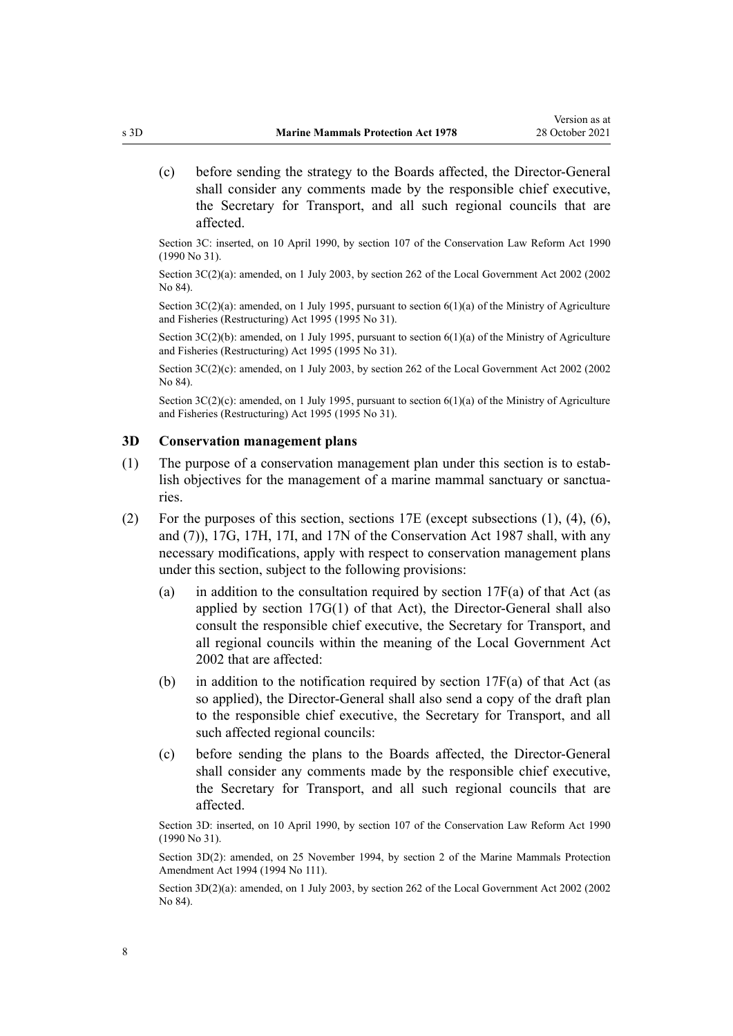<span id="page-7-0"></span>(c) before sending the strategy to the Boards affected, the Director-General shall consider any comments made by the responsible chief executive, the Secretary for Transport, and all such regional councils that are affected.

Section 3C: inserted, on 10 April 1990, by [section 107](http://legislation.govt.nz/pdflink.aspx?id=DLM209182) of the Conservation Law Reform Act 1990 (1990 No 31).

Section 3C(2)(a): amended, on 1 July 2003, by [section 262](http://legislation.govt.nz/pdflink.aspx?id=DLM174088) of the Local Government Act 2002 (2002) No 84).

Section  $3C(2)(a)$ : amended, on 1 July 1995, pursuant to section  $6(1)(a)$  of the Ministry of Agriculture and Fisheries (Restructuring) Act 1995 (1995 No 31).

Section 3C(2)(b): amended, on 1 July 1995, pursuant to [section 6\(1\)\(a\)](http://legislation.govt.nz/pdflink.aspx?id=DLM366838) of the Ministry of Agriculture and Fisheries (Restructuring) Act 1995 (1995 No 31).

Section 3C(2)(c): amended, on 1 July 2003, by [section 262](http://legislation.govt.nz/pdflink.aspx?id=DLM174088) of the Local Government Act 2002 (2002) No 84).

Section  $3C(2)(c)$ : amended, on 1 July 1995, pursuant to section  $6(1)(a)$  of the Ministry of Agriculture and Fisheries (Restructuring) Act 1995 (1995 No 31).

#### **3D Conservation management plans**

- (1) The purpose of a conservation management plan under this section is to establish objectives for the management of a marine mammal sanctuary or sanctuaries.
- (2) For the purposes of this section, [sections 17E](http://legislation.govt.nz/pdflink.aspx?id=DLM104603) (except subsections (1), (4), (6), and (7)), [17G](http://legislation.govt.nz/pdflink.aspx?id=DLM104611), [17H,](http://legislation.govt.nz/pdflink.aspx?id=DLM104613) [17I](http://legislation.govt.nz/pdflink.aspx?id=DLM104615), and [17N](http://legislation.govt.nz/pdflink.aspx?id=DLM104629) of the Conservation Act 1987 shall, with any necessary modifications, apply with respect to conservation management plans under this section, subject to the following provisions:
	- (a) in addition to the consultation required by section  $17F(a)$  of that Act (as applied by [section 17G\(1\)](http://legislation.govt.nz/pdflink.aspx?id=DLM104611) of that Act), the Director-General shall also consult the responsible chief executive, the Secretary for Transport, and all regional councils within the meaning of the [Local Government Act](http://legislation.govt.nz/pdflink.aspx?id=DLM170872) [2002](http://legislation.govt.nz/pdflink.aspx?id=DLM170872) that are affected:
	- (b) in addition to the notification required by section  $17F(a)$  of that Act (as so applied), the Director-General shall also send a copy of the draft plan to the responsible chief executive, the Secretary for Transport, and all such affected regional councils:
	- (c) before sending the plans to the Boards affected, the Director-General shall consider any comments made by the responsible chief executive, the Secretary for Transport, and all such regional councils that are affected.

Section 3D: inserted, on 10 April 1990, by [section 107](http://legislation.govt.nz/pdflink.aspx?id=DLM209182) of the Conservation Law Reform Act 1990 (1990 No 31).

Section 3D(2): amended, on 25 November 1994, by section 2 of the Marine Mammals Protection Amendment Act 1994 (1994 No 111).

Section 3D(2)(a): amended, on 1 July 2003, by [section 262](http://legislation.govt.nz/pdflink.aspx?id=DLM174088) of the Local Government Act 2002 (2002 No 84).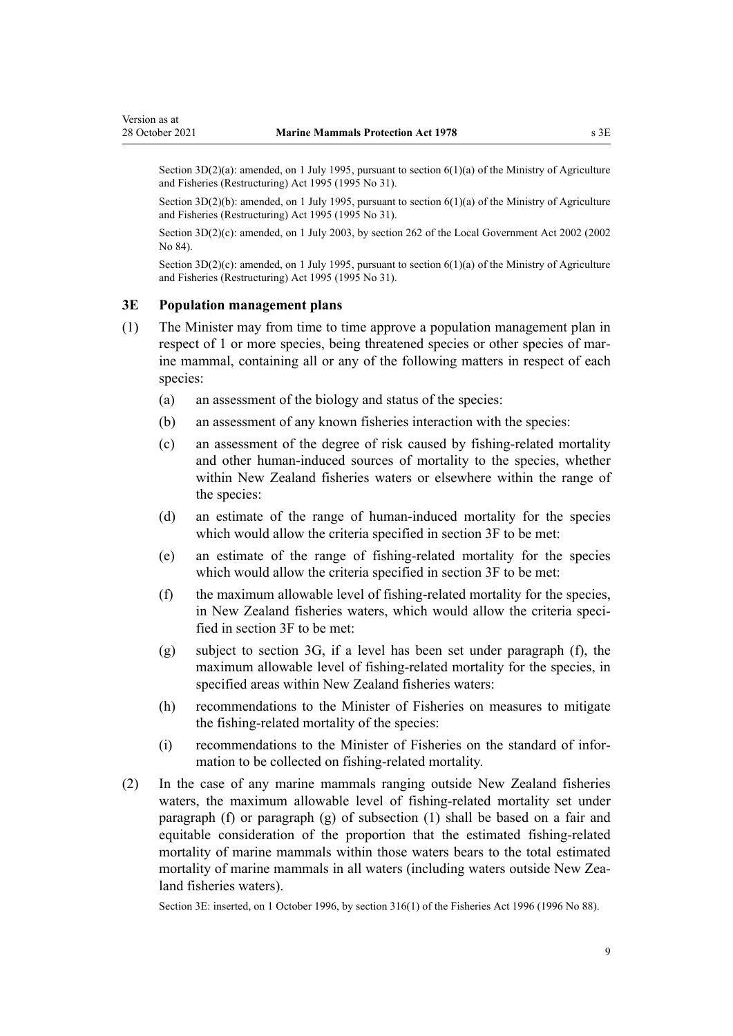<span id="page-8-0"></span>Section 3D(2)(a): amended, on 1 July 1995, pursuant to [section 6\(1\)\(a\)](http://legislation.govt.nz/pdflink.aspx?id=DLM366838) of the Ministry of Agriculture and Fisheries (Restructuring) Act 1995 (1995 No 31).

Section 3D(2)(b): amended, on 1 July 1995, pursuant to [section 6\(1\)\(a\)](http://legislation.govt.nz/pdflink.aspx?id=DLM366838) of the Ministry of Agriculture and Fisheries (Restructuring) Act 1995 (1995 No 31).

Section 3D(2)(c): amended, on 1 July 2003, by [section 262](http://legislation.govt.nz/pdflink.aspx?id=DLM174088) of the Local Government Act 2002 (2002 No 84).

Section  $3D(2)(c)$ : amended, on 1 July 1995, pursuant to section  $6(1)(a)$  of the Ministry of Agriculture and Fisheries (Restructuring) Act 1995 (1995 No 31).

### **3E Population management plans**

- (1) The Minister may from time to time approve a population management plan in respect of 1 or more species, being threatened species or other species of marine mammal, containing all or any of the following matters in respect of each species:
	- (a) an assessment of the biology and status of the species:
	- (b) an assessment of any known fisheries interaction with the species:
	- (c) an assessment of the degree of risk caused by fishing-related mortality and other human-induced sources of mortality to the species, whether within New Zealand fisheries waters or elsewhere within the range of the species:
	- (d) an estimate of the range of human-induced mortality for the species which would allow the criteria specified in [section 3F](#page-9-0) to be met:
	- (e) an estimate of the range of fishing-related mortality for the species which would allow the criteria specified in [section 3F](#page-9-0) to be met:
	- (f) the maximum allowable level of fishing-related mortality for the species, in New Zealand fisheries waters, which would allow the criteria specified in [section 3F](#page-9-0) to be met:
	- (g) subject to [section 3G](#page-9-0), if a level has been set under paragraph (f), the maximum allowable level of fishing-related mortality for the species, in specified areas within New Zealand fisheries waters:
	- (h) recommendations to the Minister of Fisheries on measures to mitigate the fishing-related mortality of the species:
	- (i) recommendations to the Minister of Fisheries on the standard of infor‐ mation to be collected on fishing-related mortality.
- (2) In the case of any marine mammals ranging outside New Zealand fisheries waters, the maximum allowable level of fishing-related mortality set under paragraph (f) or paragraph (g) of subsection (1) shall be based on a fair and equitable consideration of the proportion that the estimated fishing-related mortality of marine mammals within those waters bears to the total estimated mortality of marine mammals in all waters (including waters outside New Zealand fisheries waters).

Section 3E: inserted, on 1 October 1996, by [section 316\(1\)](http://legislation.govt.nz/pdflink.aspx?id=DLM399975) of the Fisheries Act 1996 (1996 No 88).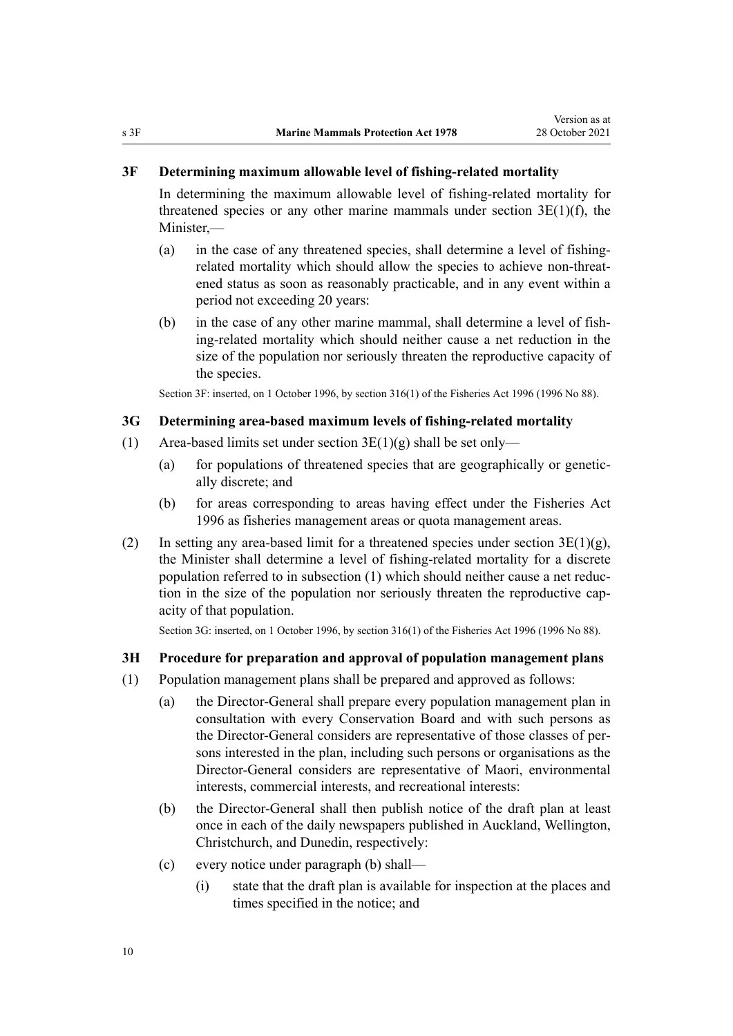### <span id="page-9-0"></span>**3F Determining maximum allowable level of fishing-related mortality**

In determining the maximum allowable level of fishing-related mortality for threatened species or any other marine mammals under [section 3E\(1\)\(f\),](#page-8-0) the Minister,—

- (a) in the case of any threatened species, shall determine a level of fishingrelated mortality which should allow the species to achieve non-threat‐ ened status as soon as reasonably practicable, and in any event within a period not exceeding 20 years:
- (b) in the case of any other marine mammal, shall determine a level of fishing-related mortality which should neither cause a net reduction in the size of the population nor seriously threaten the reproductive capacity of the species.

Section 3F: inserted, on 1 October 1996, by [section 316\(1\)](http://legislation.govt.nz/pdflink.aspx?id=DLM399975) of the Fisheries Act 1996 (1996 No 88).

#### **3G Determining area-based maximum levels of fishing-related mortality**

- (1) Area-based limits set under section  $3E(1)(g)$  shall be set only—
	- (a) for populations of threatened species that are geographically or genetically discrete; and
	- (b) for areas corresponding to areas having effect under the [Fisheries Act](http://legislation.govt.nz/pdflink.aspx?id=DLM394191) [1996](http://legislation.govt.nz/pdflink.aspx?id=DLM394191) as fisheries management areas or quota management areas.
- (2) In setting any area-based limit for a threatened species under section  $3E(1)(g)$ , the Minister shall determine a level of fishing-related mortality for a discrete population referred to in subsection (1) which should neither cause a net reduc‐ tion in the size of the population nor seriously threaten the reproductive capacity of that population.

Section 3G: inserted, on 1 October 1996, by [section 316\(1\)](http://legislation.govt.nz/pdflink.aspx?id=DLM399975) of the Fisheries Act 1996 (1996 No 88).

### **3H Procedure for preparation and approval of population management plans**

- (1) Population management plans shall be prepared and approved as follows:
	- (a) the Director-General shall prepare every population management plan in consultation with every Conservation Board and with such persons as the Director-General considers are representative of those classes of per‐ sons interested in the plan, including such persons or organisations as the Director-General considers are representative of Maori, environmental interests, commercial interests, and recreational interests:
	- (b) the Director-General shall then publish notice of the draft plan at least once in each of the daily newspapers published in Auckland, Wellington, Christchurch, and Dunedin, respectively:
	- (c) every notice under paragraph (b) shall—
		- (i) state that the draft plan is available for inspection at the places and times specified in the notice; and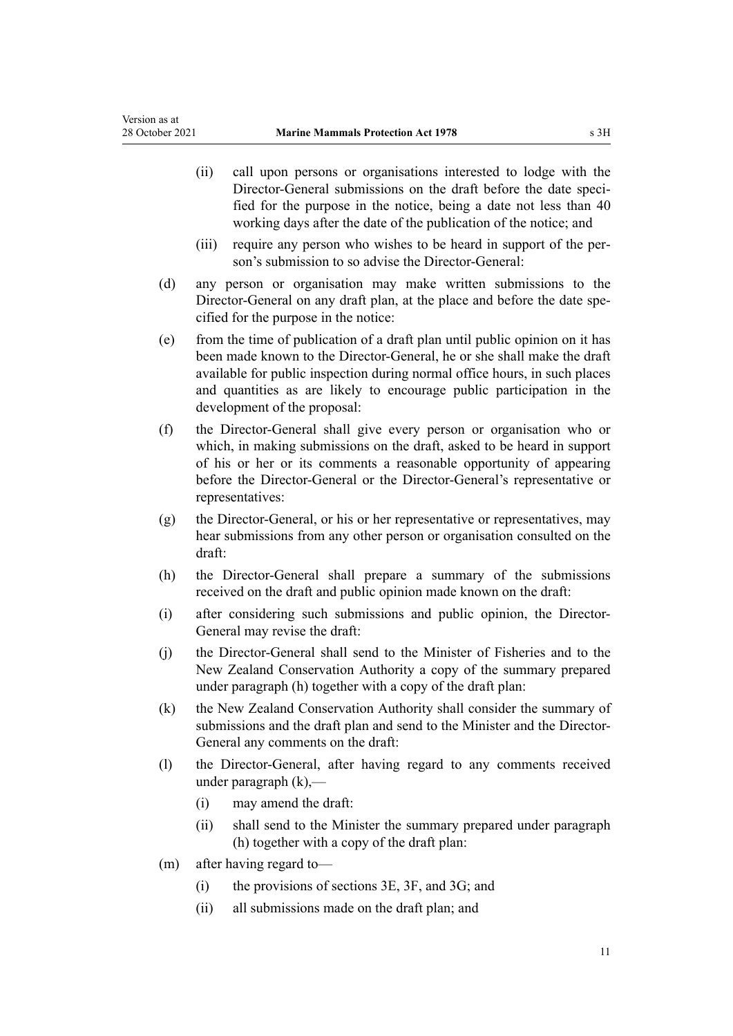- (ii) call upon persons or organisations interested to lodge with the Director-General submissions on the draft before the date specified for the purpose in the notice, being a date not less than 40 working days after the date of the publication of the notice; and
- (iii) require any person who wishes to be heard in support of the person's submission to so advise the Director-General:
- (d) any person or organisation may make written submissions to the Director-General on any draft plan, at the place and before the date specified for the purpose in the notice:
- (e) from the time of publication of a draft plan until public opinion on it has been made known to the Director-General, he or she shall make the draft available for public inspection during normal office hours, in such places and quantities as are likely to encourage public participation in the development of the proposal:
- (f) the Director-General shall give every person or organisation who or which, in making submissions on the draft, asked to be heard in support of his or her or its comments a reasonable opportunity of appearing before the Director-General or the Director-General's representative or representatives:
- (g) the Director-General, or his or her representative or representatives, may hear submissions from any other person or organisation consulted on the draft:
- (h) the Director-General shall prepare a summary of the submissions received on the draft and public opinion made known on the draft:
- (i) after considering such submissions and public opinion, the Director-General may revise the draft:
- (j) the Director-General shall send to the Minister of Fisheries and to the New Zealand Conservation Authority a copy of the summary prepared under paragraph (h) together with a copy of the draft plan:
- (k) the New Zealand Conservation Authority shall consider the summary of submissions and the draft plan and send to the Minister and the Director-General any comments on the draft:
- (l) the Director-General, after having regard to any comments received under paragraph (k),—
	- (i) may amend the draft:
	- (ii) shall send to the Minister the summary prepared under paragraph (h) together with a copy of the draft plan:
- (m) after having regard to—
	- (i) the provisions of [sections 3E](#page-8-0), [3F,](#page-9-0) and [3G](#page-9-0); and
	- (ii) all submissions made on the draft plan; and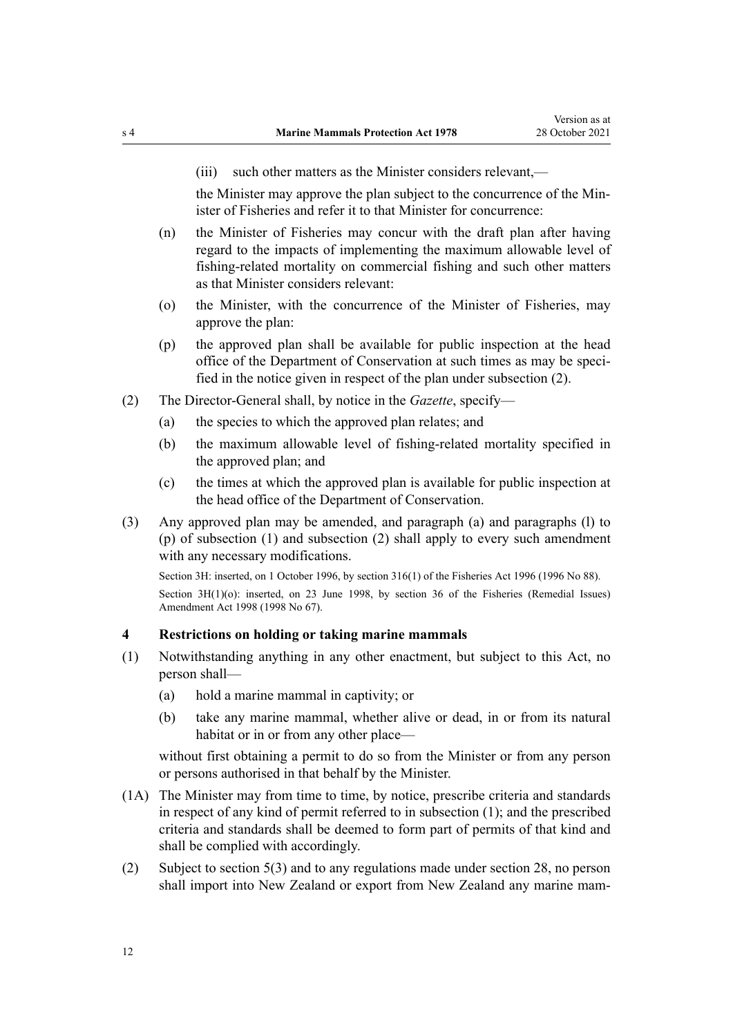<span id="page-11-0"></span>

(iii) such other matters as the Minister considers relevant,—

the Minister may approve the plan subject to the concurrence of the Min‐ ister of Fisheries and refer it to that Minister for concurrence:

- (n) the Minister of Fisheries may concur with the draft plan after having regard to the impacts of implementing the maximum allowable level of fishing-related mortality on commercial fishing and such other matters as that Minister considers relevant:
- (o) the Minister, with the concurrence of the Minister of Fisheries, may approve the plan:
- (p) the approved plan shall be available for public inspection at the head office of the Department of Conservation at such times as may be speci‐ fied in the notice given in respect of the plan under subsection (2).
- (2) The Director-General shall, by notice in the *Gazette*, specify—
	- (a) the species to which the approved plan relates; and
	- (b) the maximum allowable level of fishing-related mortality specified in the approved plan; and
	- (c) the times at which the approved plan is available for public inspection at the head office of the Department of Conservation.
- (3) Any approved plan may be amended, and paragraph (a) and paragraphs (l) to (p) of subsection (1) and subsection (2) shall apply to every such amendment with any necessary modifications.

Section 3H: inserted, on 1 October 1996, by [section 316\(1\)](http://legislation.govt.nz/pdflink.aspx?id=DLM399975) of the Fisheries Act 1996 (1996 No 88). Section 3H(1)(o): inserted, on 23 June 1998, by [section 36](http://legislation.govt.nz/pdflink.aspx?id=DLM427273) of the Fisheries (Remedial Issues) Amendment Act 1998 (1998 No 67).

### **4 Restrictions on holding or taking marine mammals**

- (1) Notwithstanding anything in any other enactment, but subject to this Act, no person shall—
	- (a) hold a marine mammal in captivity; or
	- (b) take any marine mammal, whether alive or dead, in or from its natural habitat or in or from any other place—

without first obtaining a permit to do so from the Minister or from any person or persons authorised in that behalf by the Minister.

- (1A) The Minister may from time to time, by notice, prescribe criteria and standards in respect of any kind of permit referred to in subsection (1); and the prescribed criteria and standards shall be deemed to form part of permits of that kind and shall be complied with accordingly.
- (2) Subject to [section 5\(3\)](#page-13-0) and to any regulations made under [section 28](#page-31-0), no person shall import into New Zealand or export from New Zealand any marine mam-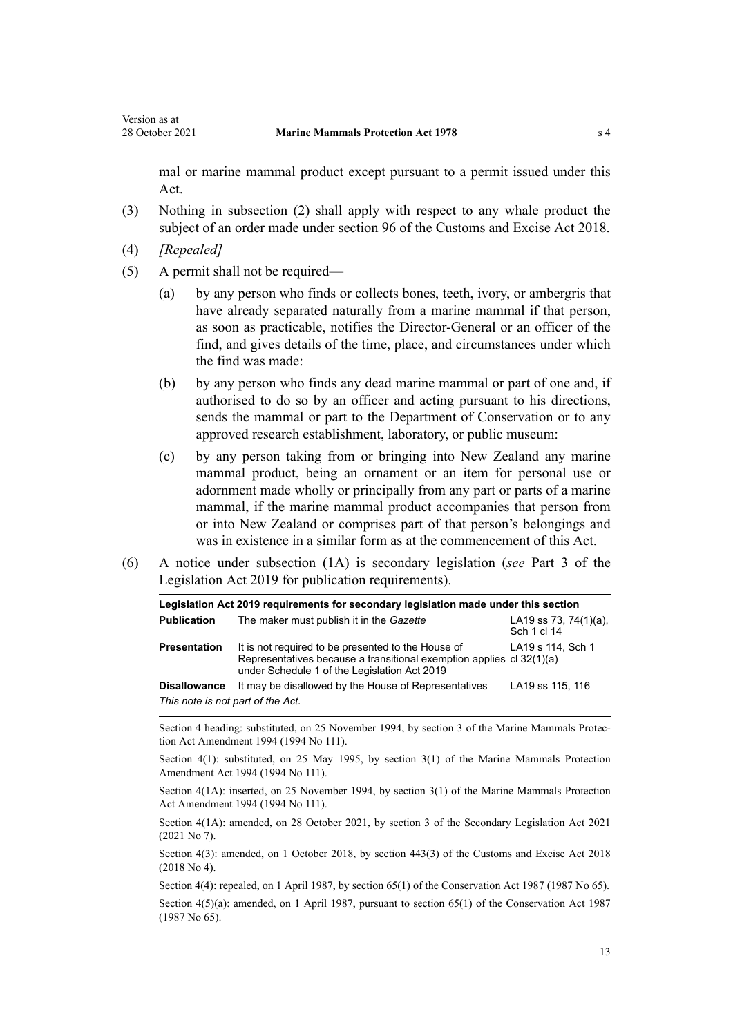mal or marine mammal product except pursuant to a permit issued under this Act.

- (3) Nothing in subsection (2) shall apply with respect to any whale product the subject of an order made under [section 96](http://legislation.govt.nz/pdflink.aspx?id=DLM7039309) of the Customs and Excise Act 2018.
- (4) *[Repealed]*
- (5) A permit shall not be required—
	- (a) by any person who finds or collects bones, teeth, ivory, or ambergris that have already separated naturally from a marine mammal if that person, as soon as practicable, notifies the Director-General or an officer of the find, and gives details of the time, place, and circumstances under which the find was made:
	- (b) by any person who finds any dead marine mammal or part of one and, if authorised to do so by an officer and acting pursuant to his directions, sends the mammal or part to the Department of Conservation or to any approved research establishment, laboratory, or public museum:
	- (c) by any person taking from or bringing into New Zealand any marine mammal product, being an ornament or an item for personal use or adornment made wholly or principally from any part or parts of a marine mammal, if the marine mammal product accompanies that person from or into New Zealand or comprises part of that person's belongings and was in existence in a similar form as at the commencement of this Act.
- (6) A notice under subsection (1A) is secondary legislation (*see* [Part 3](http://legislation.govt.nz/pdflink.aspx?id=DLM7298343) of the Legislation Act 2019 for publication requirements).

|                                   | Legislation Act 2019 requirements for secondary legislation made under this section                                                                                        |                                          |
|-----------------------------------|----------------------------------------------------------------------------------------------------------------------------------------------------------------------------|------------------------------------------|
| <b>Publication</b>                | The maker must publish it in the Gazette                                                                                                                                   | LA19 ss 73, 74 $(1)(a)$ ,<br>Sch 1 cl 14 |
| <b>Presentation</b>               | It is not required to be presented to the House of<br>Representatives because a transitional exemption applies cl 32(1)(a)<br>under Schedule 1 of the Legislation Act 2019 | LA19 s 114, Sch 1                        |
| <b>Disallowance</b>               | It may be disallowed by the House of Representatives                                                                                                                       | LA19 ss 115, 116                         |
| This note is not part of the Act. |                                                                                                                                                                            |                                          |

Section 4 heading: substituted, on 25 November 1994, by section 3 of the Marine Mammals Protection Act Amendment 1994 (1994 No 111).

Section 4(1): substituted, on 25 May 1995, by section 3(1) of the Marine Mammals Protection Amendment Act 1994 (1994 No 111).

Section 4(1A): inserted, on 25 November 1994, by section 3(1) of the Marine Mammals Protection Act Amendment 1994 (1994 No 111).

Section 4(1A): amended, on 28 October 2021, by [section 3](http://legislation.govt.nz/pdflink.aspx?id=LMS268932) of the Secondary Legislation Act 2021 (2021 No 7).

Section 4(3): amended, on 1 October 2018, by [section 443\(3\)](http://legislation.govt.nz/pdflink.aspx?id=DLM7039957) of the Customs and Excise Act 2018 (2018 No 4).

Section 4(4): repealed, on 1 April 1987, by [section 65\(1\)](http://legislation.govt.nz/pdflink.aspx?id=DLM106995) of the Conservation Act 1987 (1987 No 65).

Section 4(5)(a): amended, on 1 April 1987, pursuant to [section 65\(1\)](http://legislation.govt.nz/pdflink.aspx?id=DLM106995) of the Conservation Act 1987 (1987 No 65).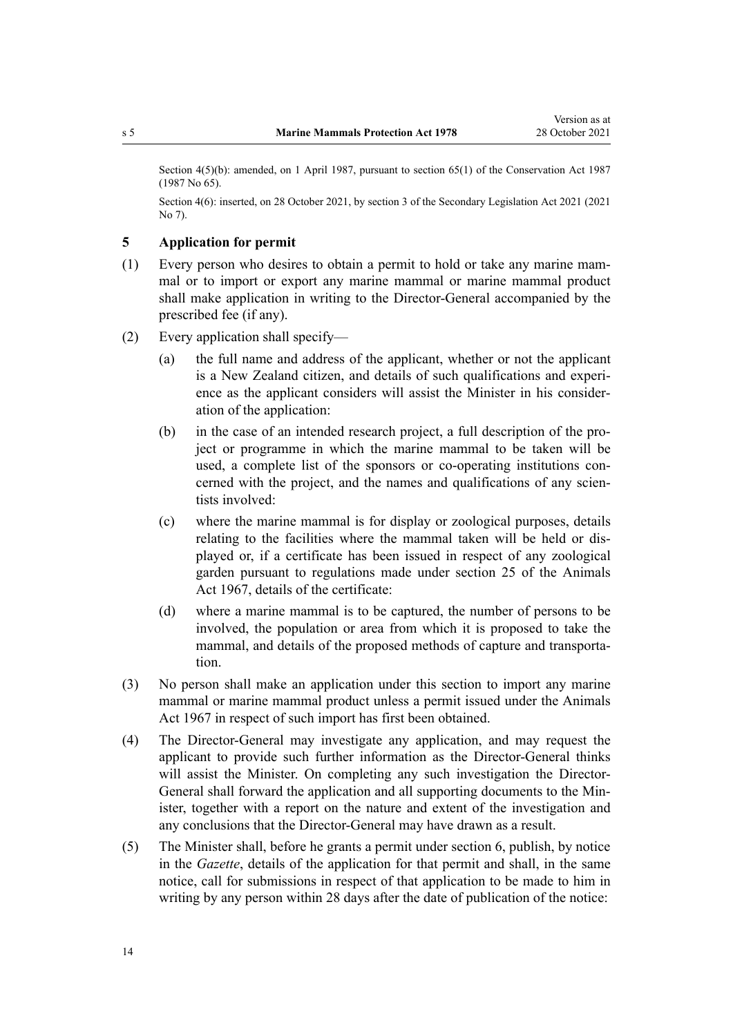<span id="page-13-0"></span>Section  $4(5)(b)$ : amended, on 1 April 1987, pursuant to [section 65\(1\)](http://legislation.govt.nz/pdflink.aspx?id=DLM106995) of the Conservation Act 1987 (1987 No 65).

Section 4(6): inserted, on 28 October 2021, by [section 3](http://legislation.govt.nz/pdflink.aspx?id=LMS268932) of the Secondary Legislation Act 2021 (2021 No 7).

### **5 Application for permit**

- (1) Every person who desires to obtain a permit to hold or take any marine mam‐ mal or to import or export any marine mammal or marine mammal product shall make application in writing to the Director-General accompanied by the prescribed fee (if any).
- (2) Every application shall specify—
	- (a) the full name and address of the applicant, whether or not the applicant is a New Zealand citizen, and details of such qualifications and experi‐ ence as the applicant considers will assist the Minister in his consider‐ ation of the application:
	- (b) in the case of an intended research project, a full description of the project or programme in which the marine mammal to be taken will be used, a complete list of the sponsors or co-operating institutions concerned with the project, and the names and qualifications of any scientists involved:
	- (c) where the marine mammal is for display or zoological purposes, details relating to the facilities where the mammal taken will be held or dis‐ played or, if a certificate has been issued in respect of any zoological garden pursuant to regulations made under section 25 of the Animals Act 1967, details of the certificate:
	- (d) where a marine mammal is to be captured, the number of persons to be involved, the population or area from which it is proposed to take the mammal, and details of the proposed methods of capture and transportation.
- (3) No person shall make an application under this section to import any marine mammal or marine mammal product unless a permit issued under the Animals Act 1967 in respect of such import has first been obtained.
- (4) The Director-General may investigate any application, and may request the applicant to provide such further information as the Director-General thinks will assist the Minister. On completing any such investigation the Director-General shall forward the application and all supporting documents to the Minister, together with a report on the nature and extent of the investigation and any conclusions that the Director-General may have drawn as a result.
- (5) The Minister shall, before he grants a permit under [section 6](#page-14-0), publish, by notice in the *Gazette*, details of the application for that permit and shall, in the same notice, call for submissions in respect of that application to be made to him in writing by any person within 28 days after the date of publication of the notice: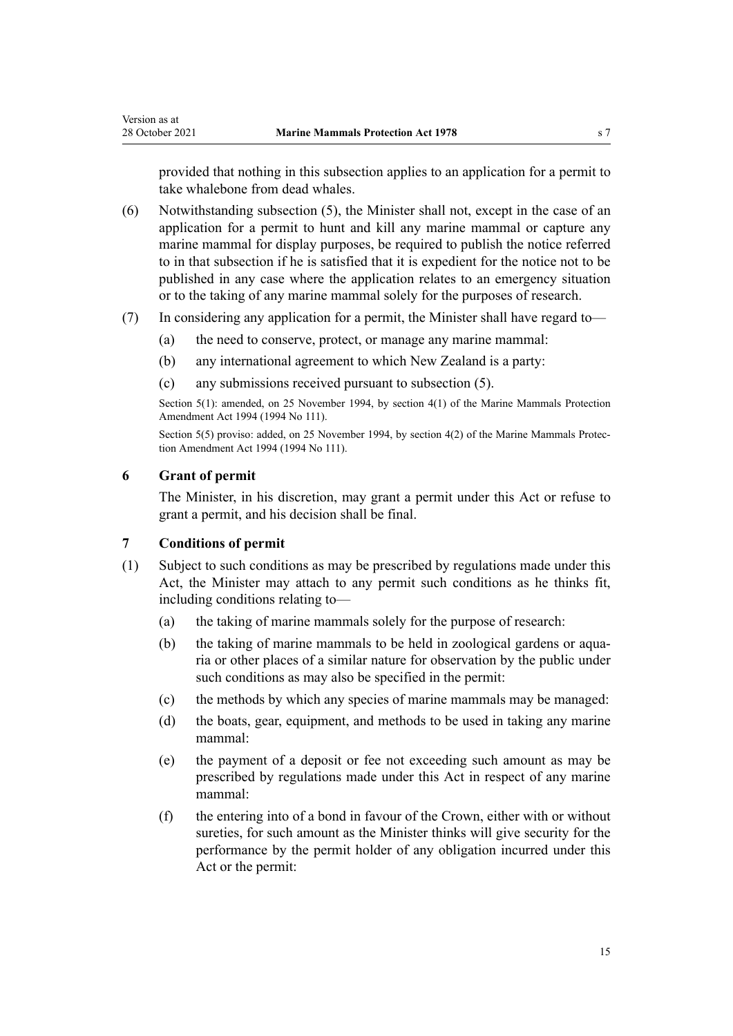<span id="page-14-0"></span>provided that nothing in this subsection applies to an application for a permit to take whalebone from dead whales.

- (6) Notwithstanding subsection (5), the Minister shall not, except in the case of an application for a permit to hunt and kill any marine mammal or capture any marine mammal for display purposes, be required to publish the notice referred to in that subsection if he is satisfied that it is expedient for the notice not to be published in any case where the application relates to an emergency situation or to the taking of any marine mammal solely for the purposes of research.
- (7) In considering any application for a permit, the Minister shall have regard to—
	- (a) the need to conserve, protect, or manage any marine mammal:
	- (b) any international agreement to which New Zealand is a party:
	- (c) any submissions received pursuant to subsection (5).

Section 5(1): amended, on 25 November 1994, by section 4(1) of the Marine Mammals Protection Amendment Act 1994 (1994 No 111).

Section 5(5) proviso: added, on 25 November 1994, by section 4(2) of the Marine Mammals Protection Amendment Act 1994 (1994 No 111).

### **6 Grant of permit**

The Minister, in his discretion, may grant a permit under this Act or refuse to grant a permit, and his decision shall be final.

### **7 Conditions of permit**

- (1) Subject to such conditions as may be prescribed by regulations made under this Act, the Minister may attach to any permit such conditions as he thinks fit, including conditions relating to—
	- (a) the taking of marine mammals solely for the purpose of research:
	- (b) the taking of marine mammals to be held in zoological gardens or aquaria or other places of a similar nature for observation by the public under such conditions as may also be specified in the permit:
	- (c) the methods by which any species of marine mammals may be managed:
	- (d) the boats, gear, equipment, and methods to be used in taking any marine mammal:
	- (e) the payment of a deposit or fee not exceeding such amount as may be prescribed by regulations made under this Act in respect of any marine mammal:
	- (f) the entering into of a bond in favour of the Crown, either with or without sureties, for such amount as the Minister thinks will give security for the performance by the permit holder of any obligation incurred under this Act or the permit: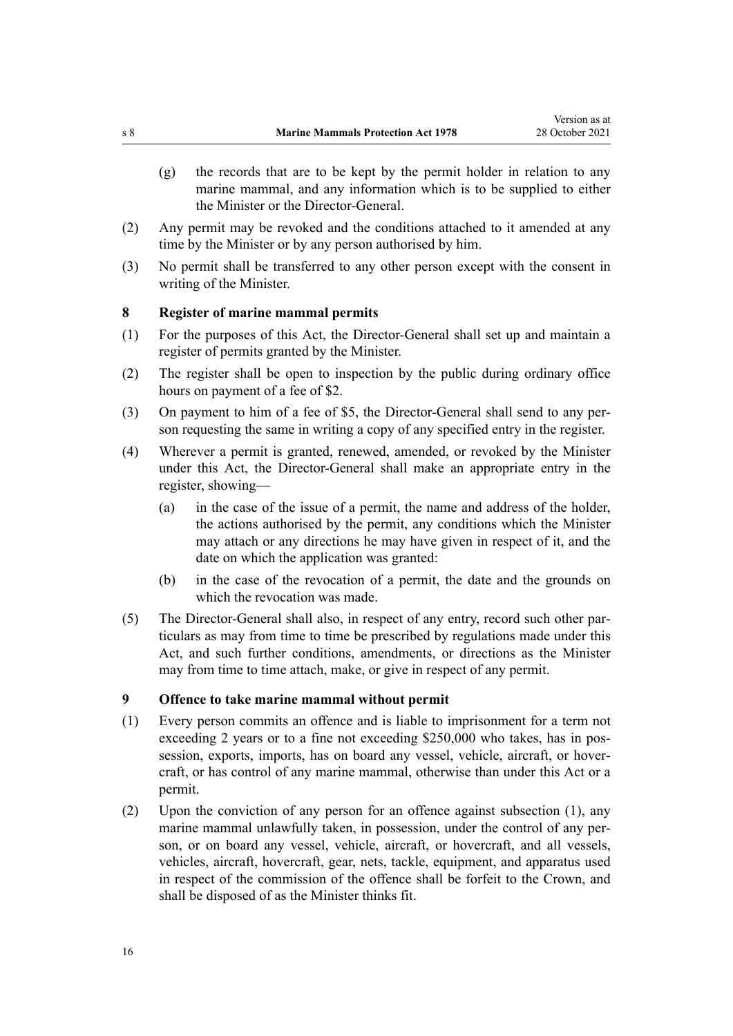- <span id="page-15-0"></span>(g) the records that are to be kept by the permit holder in relation to any marine mammal, and any information which is to be supplied to either the Minister or the Director-General.
- (2) Any permit may be revoked and the conditions attached to it amended at any time by the Minister or by any person authorised by him.
- (3) No permit shall be transferred to any other person except with the consent in writing of the Minister.

### **8 Register of marine mammal permits**

- (1) For the purposes of this Act, the Director-General shall set up and maintain a register of permits granted by the Minister.
- (2) The register shall be open to inspection by the public during ordinary office hours on payment of a fee of \$2.
- (3) On payment to him of a fee of \$5, the Director-General shall send to any per‐ son requesting the same in writing a copy of any specified entry in the register.
- (4) Wherever a permit is granted, renewed, amended, or revoked by the Minister under this Act, the Director-General shall make an appropriate entry in the register, showing—
	- (a) in the case of the issue of a permit, the name and address of the holder, the actions authorised by the permit, any conditions which the Minister may attach or any directions he may have given in respect of it, and the date on which the application was granted:
	- (b) in the case of the revocation of a permit, the date and the grounds on which the revocation was made.
- (5) The Director-General shall also, in respect of any entry, record such other par‐ ticulars as may from time to time be prescribed by regulations made under this Act, and such further conditions, amendments, or directions as the Minister may from time to time attach, make, or give in respect of any permit.

#### **9 Offence to take marine mammal without permit**

- (1) Every person commits an offence and is liable to imprisonment for a term not exceeding 2 years or to a fine not exceeding \$250,000 who takes, has in possession, exports, imports, has on board any vessel, vehicle, aircraft, or hovercraft, or has control of any marine mammal, otherwise than under this Act or a permit.
- (2) Upon the conviction of any person for an offence against subsection (1), any marine mammal unlawfully taken, in possession, under the control of any person, or on board any vessel, vehicle, aircraft, or hovercraft, and all vessels, vehicles, aircraft, hovercraft, gear, nets, tackle, equipment, and apparatus used in respect of the commission of the offence shall be forfeit to the Crown, and shall be disposed of as the Minister thinks fit.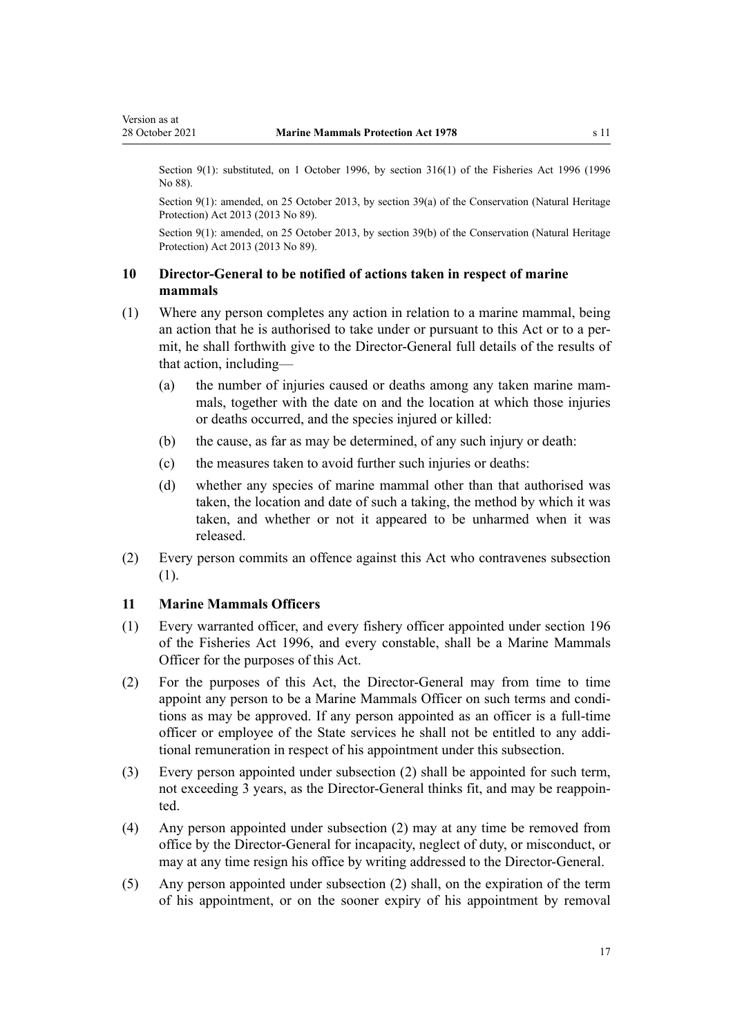<span id="page-16-0"></span>Section 9(1): substituted, on 1 October 1996, by [section 316\(1\)](http://legislation.govt.nz/pdflink.aspx?id=DLM399975) of the Fisheries Act 1996 (1996) No 88).

Section 9(1): amended, on 25 October 2013, by [section 39\(a\)](http://legislation.govt.nz/pdflink.aspx?id=DLM5469534) of the Conservation (Natural Heritage Protection) Act 2013 (2013 No 89).

Section 9(1): amended, on 25 October 2013, by [section 39\(b\)](http://legislation.govt.nz/pdflink.aspx?id=DLM5469534) of the Conservation (Natural Heritage Protection) Act 2013 (2013 No 89).

### **10 Director-General to be notified of actions taken in respect of marine mammals**

- (1) Where any person completes any action in relation to a marine mammal, being an action that he is authorised to take under or pursuant to this Act or to a permit, he shall forthwith give to the Director-General full details of the results of that action, including—
	- (a) the number of injuries caused or deaths among any taken marine mammals, together with the date on and the location at which those injuries or deaths occurred, and the species injured or killed:
	- (b) the cause, as far as may be determined, of any such injury or death:
	- (c) the measures taken to avoid further such injuries or deaths:
	- (d) whether any species of marine mammal other than that authorised was taken, the location and date of such a taking, the method by which it was taken, and whether or not it appeared to be unharmed when it was released.
- (2) Every person commits an offence against this Act who contravenes subsection (1).

#### **11 Marine Mammals Officers**

- (1) Every warranted officer, and every fishery officer appointed under [section 196](http://legislation.govt.nz/pdflink.aspx?id=DLM398601) of the Fisheries Act 1996, and every constable, shall be a Marine Mammals Officer for the purposes of this Act.
- (2) For the purposes of this Act, the Director-General may from time to time appoint any person to be a Marine Mammals Officer on such terms and condi‐ tions as may be approved. If any person appointed as an officer is a full-time officer or employee of the State services he shall not be entitled to any addi‐ tional remuneration in respect of his appointment under this subsection.
- (3) Every person appointed under subsection (2) shall be appointed for such term, not exceeding 3 years, as the Director-General thinks fit, and may be reappoin‐ ted.
- (4) Any person appointed under subsection (2) may at any time be removed from office by the Director-General for incapacity, neglect of duty, or misconduct, or may at any time resign his office by writing addressed to the Director-General.
- (5) Any person appointed under subsection (2) shall, on the expiration of the term of his appointment, or on the sooner expiry of his appointment by removal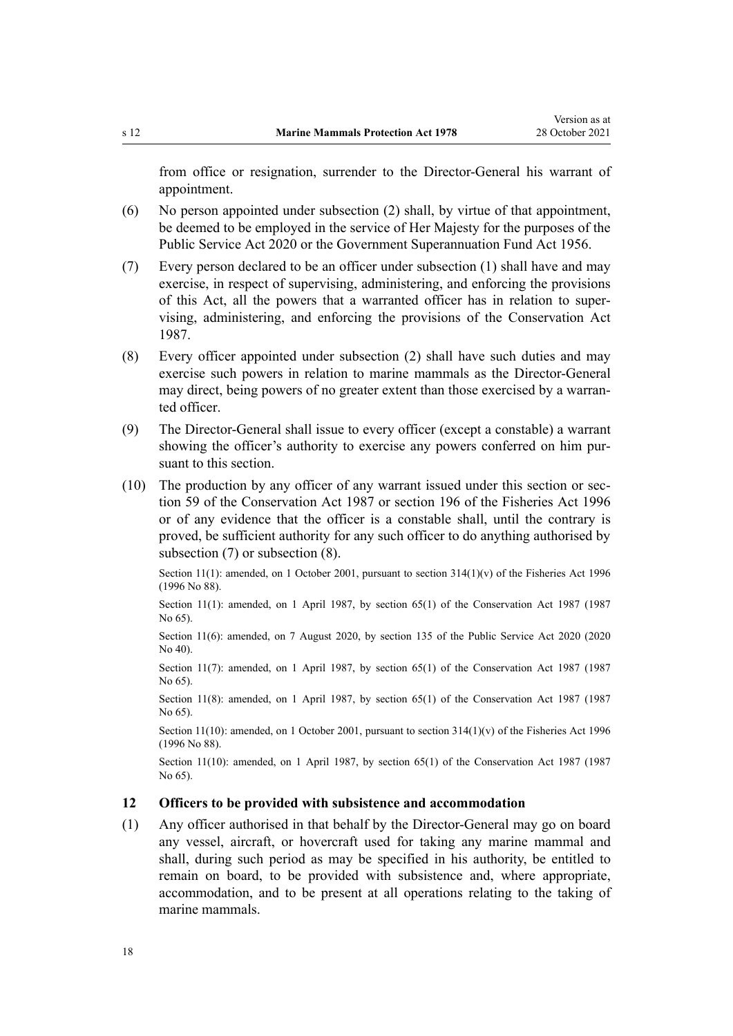<span id="page-17-0"></span>from office or resignation, surrender to the Director-General his warrant of appointment.

- (6) No person appointed under subsection (2) shall, by virtue of that appointment, be deemed to be employed in the service of Her Majesty for the purposes of the [Public Service Act 2020](http://legislation.govt.nz/pdflink.aspx?id=LMS106157) or the [Government Superannuation Fund Act 1956.](http://legislation.govt.nz/pdflink.aspx?id=DLM446000)
- (7) Every person declared to be an officer under subsection (1) shall have and may exercise, in respect of supervising, administering, and enforcing the provisions of this Act, all the powers that a warranted officer has in relation to super‐ vising, administering, and enforcing the provisions of the [Conservation Act](http://legislation.govt.nz/pdflink.aspx?id=DLM103609) [1987](http://legislation.govt.nz/pdflink.aspx?id=DLM103609).
- (8) Every officer appointed under subsection (2) shall have such duties and may exercise such powers in relation to marine mammals as the Director-General may direct, being powers of no greater extent than those exercised by a warranted officer.
- (9) The Director-General shall issue to every officer (except a constable) a warrant showing the officer's authority to exercise any powers conferred on him pursuant to this section.
- (10) The production by any officer of any warrant issued under this section or [sec‐](http://legislation.govt.nz/pdflink.aspx?id=DLM106939) [tion 59](http://legislation.govt.nz/pdflink.aspx?id=DLM106939) of the Conservation Act 1987 or [section 196](http://legislation.govt.nz/pdflink.aspx?id=DLM398601) of the Fisheries Act 1996 or of any evidence that the officer is a constable shall, until the contrary is proved, be sufficient authority for any such officer to do anything authorised by subsection (7) or subsection (8).

Section 11(1): amended, on 1 October 2001, pursuant to [section 314\(1\)\(v\)](http://legislation.govt.nz/pdflink.aspx?id=DLM399971) of the Fisheries Act 1996 (1996 No 88).

Section 11(1): amended, on 1 April 1987, by [section 65\(1\)](http://legislation.govt.nz/pdflink.aspx?id=DLM106995) of the Conservation Act 1987 (1987) No 65).

Section 11(6): amended, on 7 August 2020, by [section 135](http://legislation.govt.nz/pdflink.aspx?id=LMS176959) of the Public Service Act 2020 (2020 No 40).

Section 11(7): amended, on 1 April 1987, by [section 65\(1\)](http://legislation.govt.nz/pdflink.aspx?id=DLM106995) of the Conservation Act 1987 (1987) No 65).

Section 11(8): amended, on 1 April 1987, by [section 65\(1\)](http://legislation.govt.nz/pdflink.aspx?id=DLM106995) of the Conservation Act 1987 (1987 No 65).

Section 11(10): amended, on 1 October 2001, pursuant to [section 314\(1\)\(v\)](http://legislation.govt.nz/pdflink.aspx?id=DLM399971) of the Fisheries Act 1996 (1996 No 88).

Section 11(10): amended, on 1 April 1987, by [section 65\(1\)](http://legislation.govt.nz/pdflink.aspx?id=DLM106995) of the Conservation Act 1987 (1987 No 65).

### **12 Officers to be provided with subsistence and accommodation**

(1) Any officer authorised in that behalf by the Director-General may go on board any vessel, aircraft, or hovercraft used for taking any marine mammal and shall, during such period as may be specified in his authority, be entitled to remain on board, to be provided with subsistence and, where appropriate, accommodation, and to be present at all operations relating to the taking of marine mammals.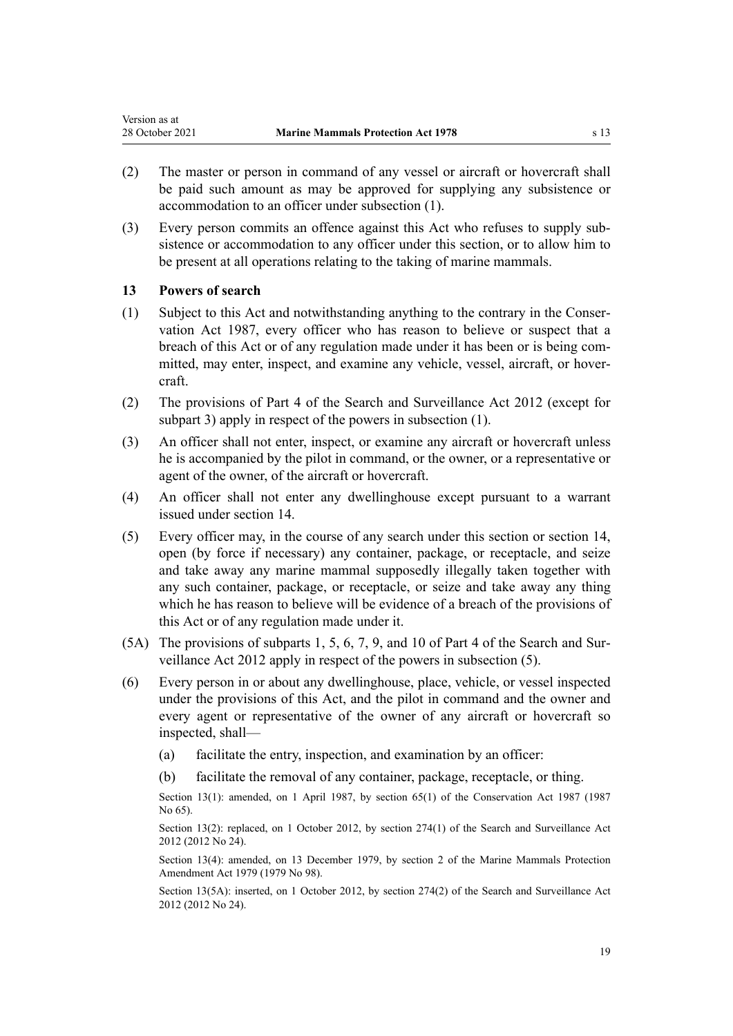- <span id="page-18-0"></span>(2) The master or person in command of any vessel or aircraft or hovercraft shall be paid such amount as may be approved for supplying any subsistence or accommodation to an officer under subsection (1).
- (3) Every person commits an offence against this Act who refuses to supply sub‐ sistence or accommodation to any officer under this section, or to allow him to be present at all operations relating to the taking of marine mammals.

### **13 Powers of search**

- (1) Subject to this Act and notwithstanding anything to the contrary in the [Conser‐](http://legislation.govt.nz/pdflink.aspx?id=DLM103609) [vation Act 1987,](http://legislation.govt.nz/pdflink.aspx?id=DLM103609) every officer who has reason to believe or suspect that a breach of this Act or of any regulation made under it has been or is being committed, may enter, inspect, and examine any vehicle, vessel, aircraft, or hovercraft.
- (2) The provisions of [Part 4](http://legislation.govt.nz/pdflink.aspx?id=DLM2136770) of the Search and Surveillance Act 2012 (except for [subpart 3\)](http://legislation.govt.nz/pdflink.aspx?id=DLM2136781) apply in respect of the powers in subsection (1).
- (3) An officer shall not enter, inspect, or examine any aircraft or hovercraft unless he is accompanied by the pilot in command, or the owner, or a representative or agent of the owner, of the aircraft or hovercraft.
- (4) An officer shall not enter any dwellinghouse except pursuant to a warrant issued under [section 14.](#page-19-0)
- (5) Every officer may, in the course of any search under this section or [section 14](#page-19-0), open (by force if necessary) any container, package, or receptacle, and seize and take away any marine mammal supposedly illegally taken together with any such container, package, or receptacle, or seize and take away any thing which he has reason to believe will be evidence of a breach of the provisions of this Act or of any regulation made under it.
- (5A) The provisions of [subparts 1](http://legislation.govt.nz/pdflink.aspx?id=DLM2136771), [5](http://legislation.govt.nz/pdflink.aspx?id=DLM2136842), [6,](http://legislation.govt.nz/pdflink.aspx?id=DLM2136860) [7,](http://legislation.govt.nz/pdflink.aspx?id=DLM2136877) [9](http://legislation.govt.nz/pdflink.aspx?id=DLM2136888), and [10](http://legislation.govt.nz/pdflink.aspx?id=DLM2136896) of Part 4 of the Search and Sur‐ veillance Act 2012 apply in respect of the powers in subsection (5).
- (6) Every person in or about any dwellinghouse, place, vehicle, or vessel inspected under the provisions of this Act, and the pilot in command and the owner and every agent or representative of the owner of any aircraft or hovercraft so inspected, shall—
	- (a) facilitate the entry, inspection, and examination by an officer:
	- (b) facilitate the removal of any container, package, receptacle, or thing.

Section 13(1): amended, on 1 April 1987, by [section 65\(1\)](http://legislation.govt.nz/pdflink.aspx?id=DLM106995) of the Conservation Act 1987 (1987 No 65).

Section 13(2): replaced, on 1 October 2012, by [section 274\(1\)](http://legislation.govt.nz/pdflink.aspx?id=DLM4356800) of the Search and Surveillance Act 2012 (2012 No 24).

Section 13(4): amended, on 13 December 1979, by section 2 of the Marine Mammals Protection Amendment Act 1979 (1979 No 98).

Section 13(5A): inserted, on 1 October 2012, by [section 274\(2\)](http://legislation.govt.nz/pdflink.aspx?id=DLM4356800) of the Search and Surveillance Act 2012 (2012 No 24).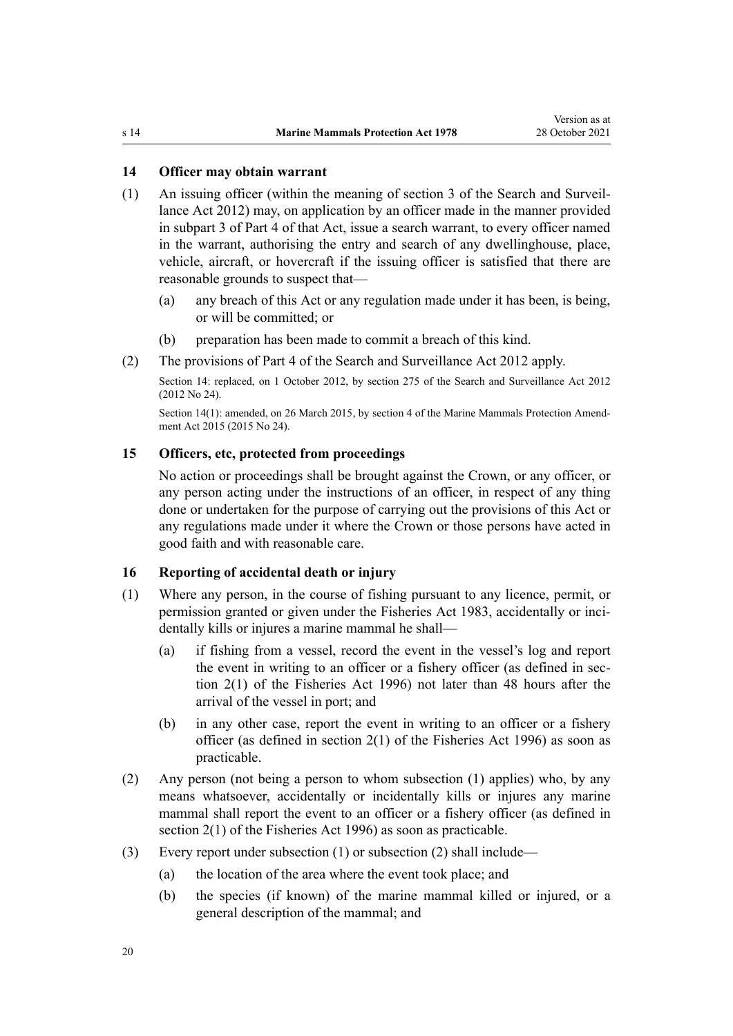### <span id="page-19-0"></span>**14 Officer may obtain warrant**

- (1) An issuing officer (within the meaning of [section 3](http://legislation.govt.nz/pdflink.aspx?id=DLM2136542) of the Search and Surveil‐ lance Act 2012) may, on application by an officer made in the manner provided in [subpart 3](http://legislation.govt.nz/pdflink.aspx?id=DLM2136781) of Part 4 of that Act, issue a search warrant, to every officer named in the warrant, authorising the entry and search of any dwellinghouse, place, vehicle, aircraft, or hovercraft if the issuing officer is satisfied that there are reasonable grounds to suspect that—
	- (a) any breach of this Act or any regulation made under it has been, is being, or will be committed; or
	- (b) preparation has been made to commit a breach of this kind.
- (2) The provisions of [Part 4](http://legislation.govt.nz/pdflink.aspx?id=DLM2136770) of the Search and Surveillance Act 2012 apply.

Section 14: replaced, on 1 October 2012, by [section 275](http://legislation.govt.nz/pdflink.aspx?id=DLM2137023) of the Search and Surveillance Act 2012 (2012 No 24).

Section 14(1): amended, on 26 March 2015, by [section 4](http://legislation.govt.nz/pdflink.aspx?id=DLM6413206) of the Marine Mammals Protection Amendment Act 2015 (2015 No 24).

### **15 Officers, etc, protected from proceedings**

No action or proceedings shall be brought against the Crown, or any officer, or any person acting under the instructions of an officer, in respect of any thing done or undertaken for the purpose of carrying out the provisions of this Act or any regulations made under it where the Crown or those persons have acted in good faith and with reasonable care.

### **16 Reporting of accidental death or injury**

- (1) Where any person, in the course of fishing pursuant to any licence, permit, or permission granted or given under the [Fisheries Act 1983](http://legislation.govt.nz/pdflink.aspx?id=DLM66581), accidentally or incidentally kills or injures a marine mammal he shall—
	- (a) if fishing from a vessel, record the event in the vessel's log and report the event in writing to an officer or a fishery officer (as defined in sec[tion 2\(1\)](http://legislation.govt.nz/pdflink.aspx?id=DLM394199) of the Fisheries Act 1996) not later than 48 hours after the arrival of the vessel in port; and
	- (b) in any other case, report the event in writing to an officer or a fishery officer (as defined in [section 2\(1\)](http://legislation.govt.nz/pdflink.aspx?id=DLM394199) of the Fisheries Act 1996) as soon as practicable.
- (2) Any person (not being a person to whom subsection (1) applies) who, by any means whatsoever, accidentally or incidentally kills or injures any marine mammal shall report the event to an officer or a fishery officer (as defined in [section 2\(1\)](http://legislation.govt.nz/pdflink.aspx?id=DLM394199) of the Fisheries Act 1996) as soon as practicable.
- (3) Every report under subsection (1) or subsection (2) shall include—
	- (a) the location of the area where the event took place; and
	- (b) the species (if known) of the marine mammal killed or injured, or a general description of the mammal; and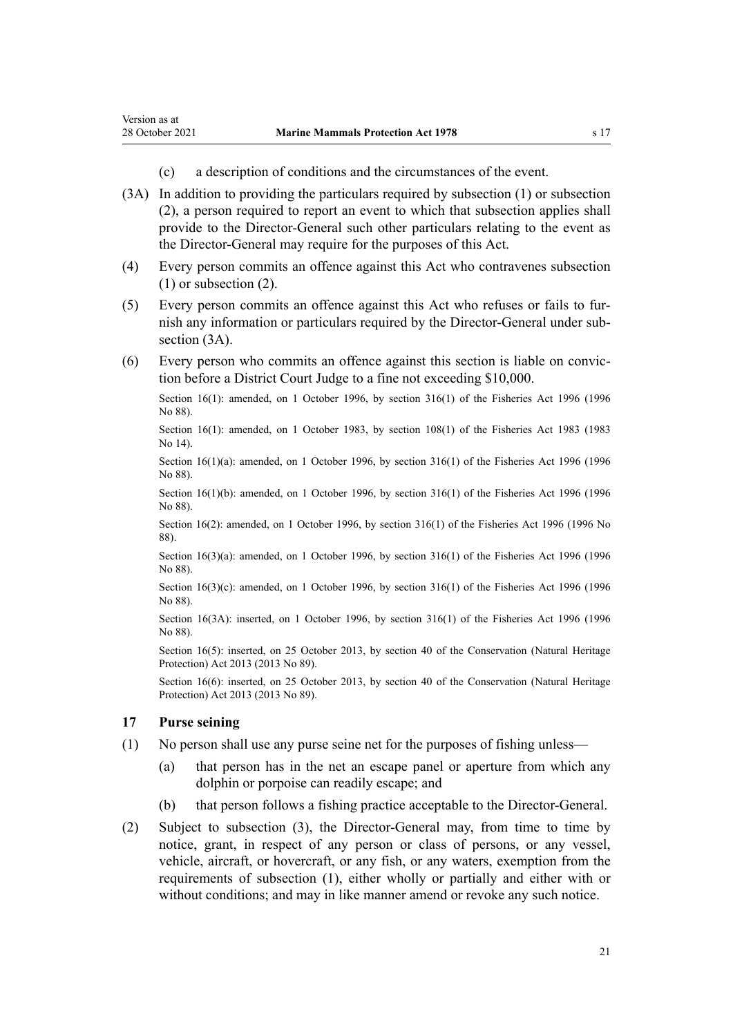- (c) a description of conditions and the circumstances of the event.
- (3A) In addition to providing the particulars required by subsection (1) or subsection (2), a person required to report an event to which that subsection applies shall provide to the Director-General such other particulars relating to the event as the Director-General may require for the purposes of this Act.
- (4) Every person commits an offence against this Act who contravenes subsection (1) or subsection (2).
- (5) Every person commits an offence against this Act who refuses or fails to fur‐ nish any information or particulars required by the Director-General under sub‐ section  $(3A)$ .
- (6) Every person who commits an offence against this section is liable on convic‐ tion before a District Court Judge to a fine not exceeding \$10,000.

Section 16(1): amended, on 1 October 1996, by [section 316\(1\)](http://legislation.govt.nz/pdflink.aspx?id=DLM399975) of the Fisheries Act 1996 (1996 No 88).

Section 16(1): amended, on 1 October 1983, by [section 108\(1\)](http://legislation.govt.nz/pdflink.aspx?id=DLM70539) of the Fisheries Act 1983 (1983) No 14).

Section 16(1)(a): amended, on 1 October 1996, by [section 316\(1\)](http://legislation.govt.nz/pdflink.aspx?id=DLM399975) of the Fisheries Act 1996 (1996) No 88).

Section 16(1)(b): amended, on 1 October 1996, by [section 316\(1\)](http://legislation.govt.nz/pdflink.aspx?id=DLM399975) of the Fisheries Act 1996 (1996 No 88).

Section 16(2): amended, on 1 October 1996, by [section 316\(1\)](http://legislation.govt.nz/pdflink.aspx?id=DLM399975) of the Fisheries Act 1996 (1996 No 88).

Section 16(3)(a): amended, on 1 October 1996, by [section 316\(1\)](http://legislation.govt.nz/pdflink.aspx?id=DLM399975) of the Fisheries Act 1996 (1996 No 88).

Section 16(3)(c): amended, on 1 October 1996, by [section 316\(1\)](http://legislation.govt.nz/pdflink.aspx?id=DLM399975) of the Fisheries Act 1996 (1996) No 88).

Section 16(3A): inserted, on 1 October 1996, by [section 316\(1\)](http://legislation.govt.nz/pdflink.aspx?id=DLM399975) of the Fisheries Act 1996 (1996 No 88).

Section 16(5): inserted, on 25 October 2013, by [section 40](http://legislation.govt.nz/pdflink.aspx?id=DLM5469535) of the Conservation (Natural Heritage Protection) Act 2013 (2013 No 89).

Section 16(6): inserted, on 25 October 2013, by [section 40](http://legislation.govt.nz/pdflink.aspx?id=DLM5469535) of the Conservation (Natural Heritage Protection) Act 2013 (2013 No 89).

### **17 Purse seining**

<span id="page-20-0"></span>Version as at

- (1) No person shall use any purse seine net for the purposes of fishing unless—
	- (a) that person has in the net an escape panel or aperture from which any dolphin or porpoise can readily escape; and
	- (b) that person follows a fishing practice acceptable to the Director-General.
- (2) Subject to subsection (3), the Director-General may, from time to time by notice, grant, in respect of any person or class of persons, or any vessel, vehicle, aircraft, or hovercraft, or any fish, or any waters, exemption from the requirements of subsection (1), either wholly or partially and either with or without conditions; and may in like manner amend or revoke any such notice.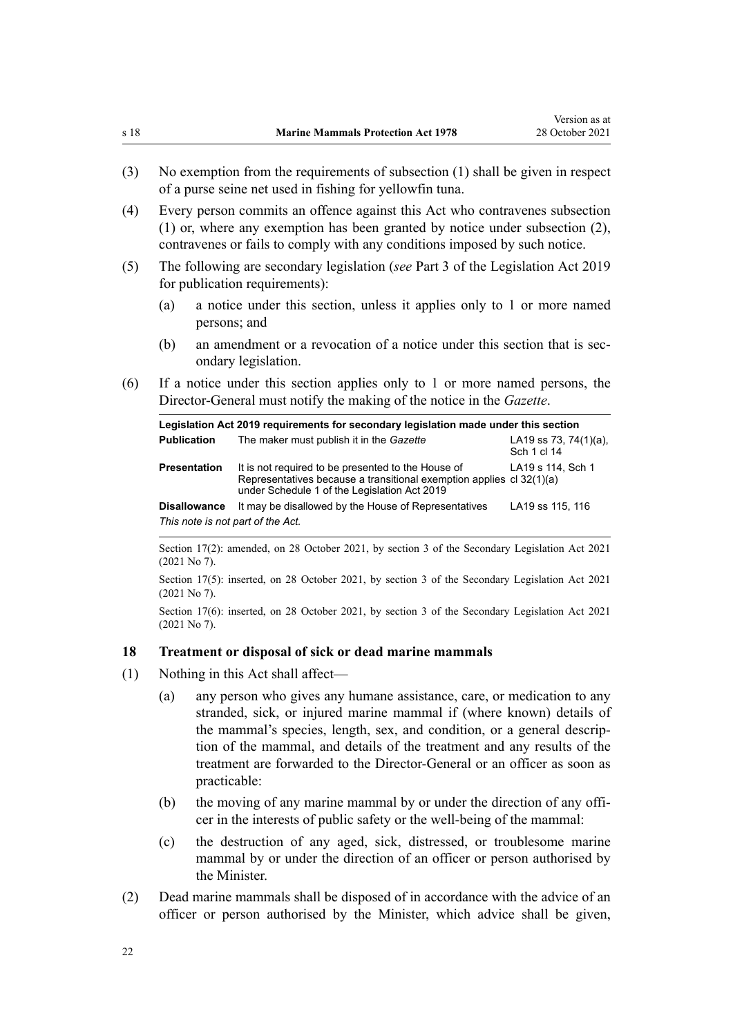- <span id="page-21-0"></span>(3) No exemption from the requirements of subsection (1) shall be given in respect of a purse seine net used in fishing for yellowfin tuna.
- (4) Every person commits an offence against this Act who contravenes subsection (1) or, where any exemption has been granted by notice under subsection (2), contravenes or fails to comply with any conditions imposed by such notice.
- (5) The following are secondary legislation (*see* [Part 3](http://legislation.govt.nz/pdflink.aspx?id=DLM7298343) of the Legislation Act 2019 for publication requirements):
	- (a) a notice under this section, unless it applies only to 1 or more named persons; and
	- (b) an amendment or a revocation of a notice under this section that is secondary legislation.
- (6) If a notice under this section applies only to 1 or more named persons, the Director-General must notify the making of the notice in the *Gazette*.

|                                   | Legislation Act 2019 requirements for secondary legislation made under this section                                                                                        |                                          |
|-----------------------------------|----------------------------------------------------------------------------------------------------------------------------------------------------------------------------|------------------------------------------|
| <b>Publication</b>                | The maker must publish it in the Gazette                                                                                                                                   | LA19 ss 73, 74 $(1)(a)$ ,<br>Sch 1 cl 14 |
| <b>Presentation</b>               | It is not required to be presented to the House of<br>Representatives because a transitional exemption applies cl 32(1)(a)<br>under Schedule 1 of the Legislation Act 2019 | LA19 s 114, Sch 1                        |
| <b>Disallowance</b>               | It may be disallowed by the House of Representatives                                                                                                                       | LA19 ss 115, 116                         |
| This note is not part of the Act. |                                                                                                                                                                            |                                          |

Section 17(2): amended, on 28 October 2021, by [section 3](http://legislation.govt.nz/pdflink.aspx?id=LMS268932) of the Secondary Legislation Act 2021 (2021 No 7).

Section 17(5): inserted, on 28 October 2021, by [section 3](http://legislation.govt.nz/pdflink.aspx?id=LMS268932) of the Secondary Legislation Act 2021 (2021 No 7).

Section 17(6): inserted, on 28 October 2021, by [section 3](http://legislation.govt.nz/pdflink.aspx?id=LMS268932) of the Secondary Legislation Act 2021 (2021 No 7).

### **18 Treatment or disposal of sick or dead marine mammals**

- (1) Nothing in this Act shall affect—
	- (a) any person who gives any humane assistance, care, or medication to any stranded, sick, or injured marine mammal if (where known) details of the mammal's species, length, sex, and condition, or a general descrip‐ tion of the mammal, and details of the treatment and any results of the treatment are forwarded to the Director-General or an officer as soon as practicable:
	- (b) the moving of any marine mammal by or under the direction of any officer in the interests of public safety or the well-being of the mammal:
	- (c) the destruction of any aged, sick, distressed, or troublesome marine mammal by or under the direction of an officer or person authorised by the Minister.
- (2) Dead marine mammals shall be disposed of in accordance with the advice of an officer or person authorised by the Minister, which advice shall be given,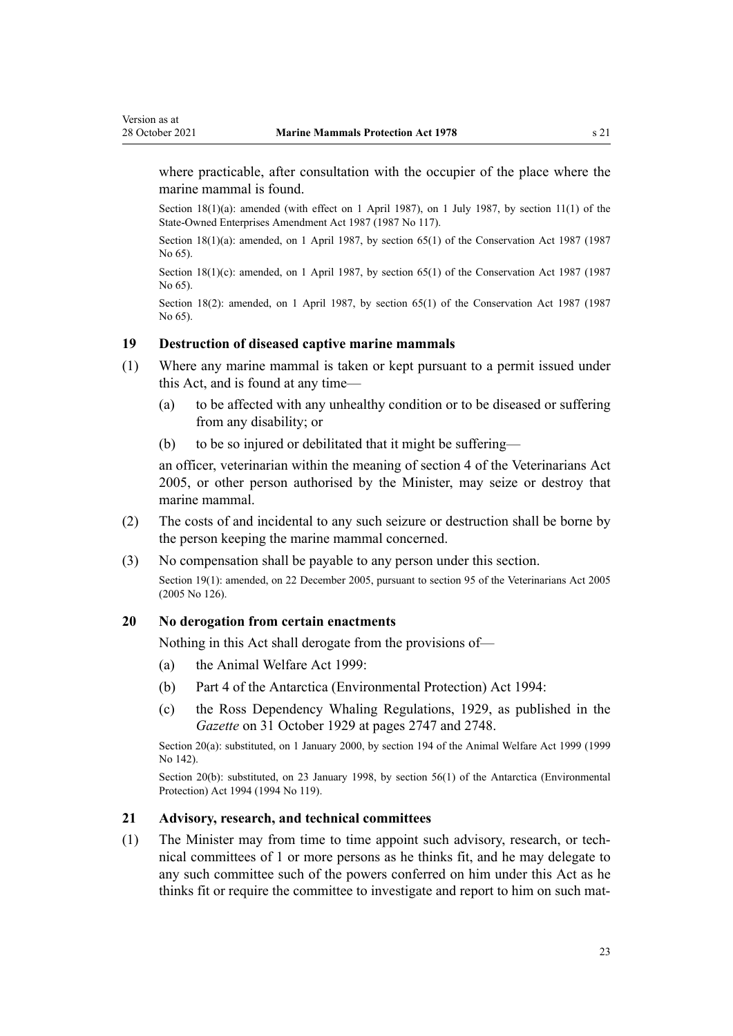<span id="page-22-0"></span>where practicable, after consultation with the occupier of the place where the marine mammal is found.

Section 18(1)(a): amended (with effect on 1 April 1987), on 1 July 1987, by section 11(1) of the State-Owned Enterprises Amendment Act 1987 (1987 No 117).

Section 18(1)(a): amended, on 1 April 1987, by [section 65\(1\)](http://legislation.govt.nz/pdflink.aspx?id=DLM106995) of the Conservation Act 1987 (1987 No 65).

Section  $18(1)(c)$ : amended, on 1 April 1987, by [section 65\(1\)](http://legislation.govt.nz/pdflink.aspx?id=DLM106995) of the Conservation Act 1987 (1987 No 65).

Section 18(2): amended, on 1 April 1987, by [section 65\(1\)](http://legislation.govt.nz/pdflink.aspx?id=DLM106995) of the Conservation Act 1987 (1987 No 65).

### **19 Destruction of diseased captive marine mammals**

- (1) Where any marine mammal is taken or kept pursuant to a permit issued under this Act, and is found at any time—
	- (a) to be affected with any unhealthy condition or to be diseased or suffering from any disability; or
	- (b) to be so injured or debilitated that it might be suffering—

an officer, veterinarian within the meaning of [section 4](http://legislation.govt.nz/pdflink.aspx?id=DLM363866) of the Veterinarians Act 2005, or other person authorised by the Minister, may seize or destroy that marine mammal.

- (2) The costs of and incidental to any such seizure or destruction shall be borne by the person keeping the marine mammal concerned.
- (3) No compensation shall be payable to any person under this section.

Section 19(1): amended, on 22 December 2005, pursuant to [section 95](http://legislation.govt.nz/pdflink.aspx?id=DLM364659) of the Veterinarians Act 2005 (2005 No 126).

#### **20 No derogation from certain enactments**

Nothing in this Act shall derogate from the provisions of—

- (a) the [Animal Welfare Act 1999:](http://legislation.govt.nz/pdflink.aspx?id=DLM49663)
- (b) [Part 4](http://legislation.govt.nz/pdflink.aspx?id=DLM343259) of the Antarctica (Environmental Protection) Act 1994:
- (c) the Ross Dependency Whaling Regulations, 1929, as published in the *Gazette* on 31 October 1929 at pages 2747 and 2748.

Section 20(a): substituted, on 1 January 2000, by [section 194](http://legislation.govt.nz/pdflink.aspx?id=DLM51965) of the Animal Welfare Act 1999 (1999 No 142).

Section 20(b): substituted, on 23 January 1998, by [section 56\(1\)](http://legislation.govt.nz/pdflink.aspx?id=DLM343623) of the Antarctica (Environmental Protection) Act 1994 (1994 No 119).

#### **21 Advisory, research, and technical committees**

(1) The Minister may from time to time appoint such advisory, research, or tech‐ nical committees of 1 or more persons as he thinks fit, and he may delegate to any such committee such of the powers conferred on him under this Act as he thinks fit or require the committee to investigate and report to him on such mat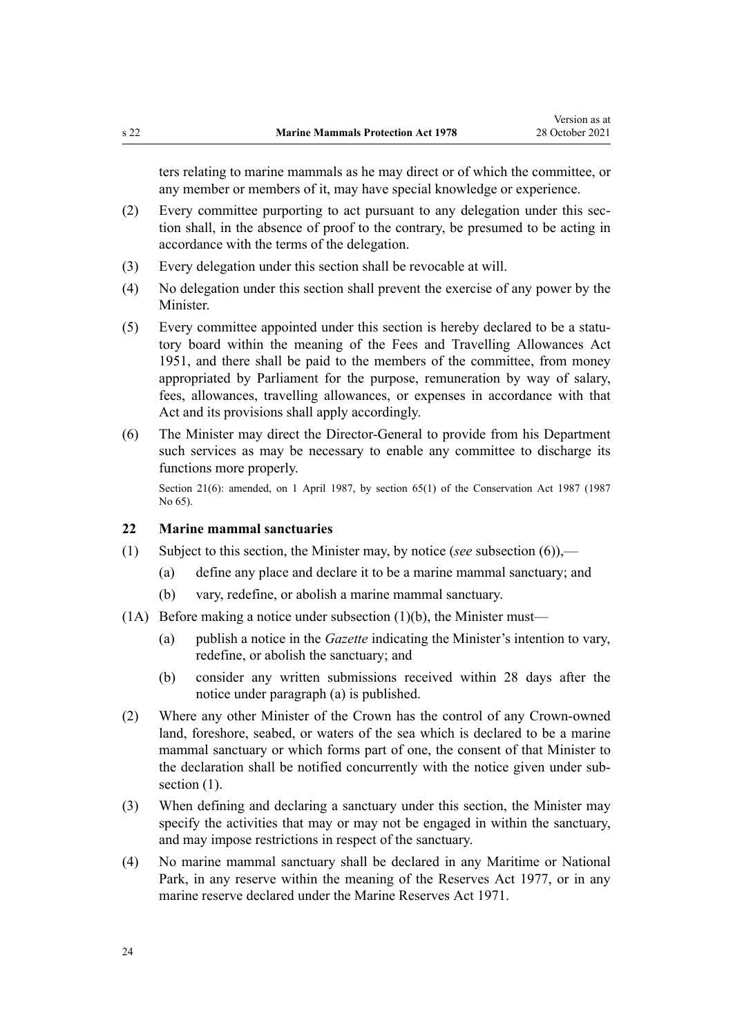<span id="page-23-0"></span>ters relating to marine mammals as he may direct or of which the committee, or any member or members of it, may have special knowledge or experience.

- (2) Every committee purporting to act pursuant to any delegation under this sec‐ tion shall, in the absence of proof to the contrary, be presumed to be acting in accordance with the terms of the delegation.
- (3) Every delegation under this section shall be revocable at will.
- (4) No delegation under this section shall prevent the exercise of any power by the Minister.
- (5) Every committee appointed under this section is hereby declared to be a statu‐ tory board within the meaning of the [Fees and Travelling Allowances Act](http://legislation.govt.nz/pdflink.aspx?id=DLM264952) [1951](http://legislation.govt.nz/pdflink.aspx?id=DLM264952), and there shall be paid to the members of the committee, from money appropriated by Parliament for the purpose, remuneration by way of salary, fees, allowances, travelling allowances, or expenses in accordance with that Act and its provisions shall apply accordingly.
- (6) The Minister may direct the Director-General to provide from his Department such services as may be necessary to enable any committee to discharge its functions more properly.

Section 21(6): amended, on 1 April 1987, by [section 65\(1\)](http://legislation.govt.nz/pdflink.aspx?id=DLM106995) of the Conservation Act 1987 (1987) No 65).

#### **22 Marine mammal sanctuaries**

- (1) Subject to this section, the Minister may, by notice (*see* subsection (6)),—
	- (a) define any place and declare it to be a marine mammal sanctuary; and
	- (b) vary, redefine, or abolish a marine mammal sanctuary.
- (1A) Before making a notice under subsection  $(1)(b)$ , the Minister must—
	- (a) publish a notice in the *Gazette* indicating the Minister's intention to vary, redefine, or abolish the sanctuary; and
	- (b) consider any written submissions received within 28 days after the notice under paragraph (a) is published.
- (2) Where any other Minister of the Crown has the control of any Crown-owned land, foreshore, seabed, or waters of the sea which is declared to be a marine mammal sanctuary or which forms part of one, the consent of that Minister to the declaration shall be notified concurrently with the notice given under subsection  $(1)$ .
- (3) When defining and declaring a sanctuary under this section, the Minister may specify the activities that may or may not be engaged in within the sanctuary, and may impose restrictions in respect of the sanctuary.
- (4) No marine mammal sanctuary shall be declared in any Maritime or National Park, in any reserve within the meaning of the [Reserves Act 1977,](http://legislation.govt.nz/pdflink.aspx?id=DLM444304) or in any marine reserve declared under the [Marine Reserves Act 1971.](http://legislation.govt.nz/pdflink.aspx?id=DLM397837)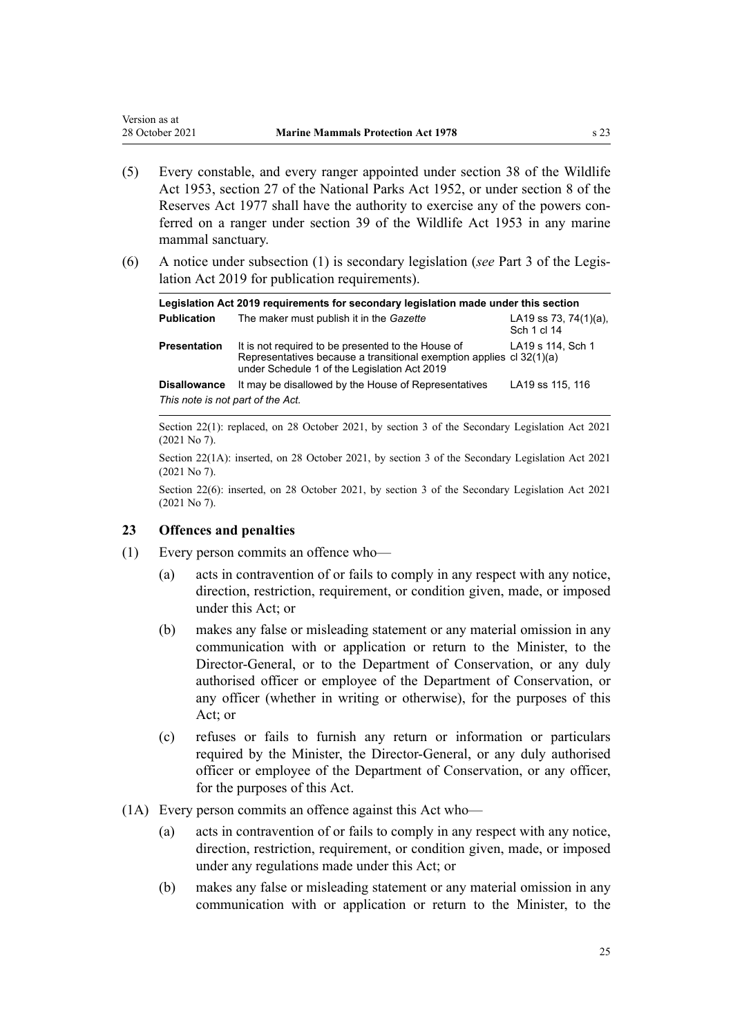- (5) Every constable, and every ranger appointed under [section 38](http://legislation.govt.nz/pdflink.aspx?id=DLM277803) of the Wildlife Act 1953, section 27 of the National Parks Act 1952, or under [section 8](http://legislation.govt.nz/pdflink.aspx?id=DLM444464) of the Reserves Act 1977 shall have the authority to exercise any of the powers conferred on a ranger under [section 39](http://legislation.govt.nz/pdflink.aspx?id=DLM277812) of the Wildlife Act 1953 in any marine
- (6) A notice under subsection (1) is secondary legislation (*see* [Part 3](http://legislation.govt.nz/pdflink.aspx?id=DLM7298343) of the Legis‐ lation Act 2019 for publication requirements).

|                                   | Legislation Act 2019 requirements for secondary legislation made under this section                                                                                        |                                          |
|-----------------------------------|----------------------------------------------------------------------------------------------------------------------------------------------------------------------------|------------------------------------------|
| <b>Publication</b>                | The maker must publish it in the Gazette                                                                                                                                   | LA19 ss 73, 74 $(1)(a)$ ,<br>Sch 1 cl 14 |
| <b>Presentation</b>               | It is not required to be presented to the House of<br>Representatives because a transitional exemption applies cl 32(1)(a)<br>under Schedule 1 of the Legislation Act 2019 | LA19 s 114, Sch 1                        |
| <b>Disallowance</b>               | It may be disallowed by the House of Representatives                                                                                                                       | LA19 ss 115, 116                         |
| This note is not part of the Act. |                                                                                                                                                                            |                                          |

Section 22(1): replaced, on 28 October 2021, by [section 3](http://legislation.govt.nz/pdflink.aspx?id=LMS268932) of the Secondary Legislation Act 2021 (2021 No 7).

Section 22(1A): inserted, on 28 October 2021, by [section 3](http://legislation.govt.nz/pdflink.aspx?id=LMS268932) of the Secondary Legislation Act 2021 (2021 No 7).

Section 22(6): inserted, on 28 October 2021, by [section 3](http://legislation.govt.nz/pdflink.aspx?id=LMS268932) of the Secondary Legislation Act 2021 (2021 No 7).

### **23 Offences and penalties**

mammal sanctuary.

<span id="page-24-0"></span>Version as at

- (1) Every person commits an offence who—
	- (a) acts in contravention of or fails to comply in any respect with any notice, direction, restriction, requirement, or condition given, made, or imposed under this Act; or
	- (b) makes any false or misleading statement or any material omission in any communication with or application or return to the Minister, to the Director-General, or to the Department of Conservation, or any duly authorised officer or employee of the Department of Conservation, or any officer (whether in writing or otherwise), for the purposes of this Act; or
	- (c) refuses or fails to furnish any return or information or particulars required by the Minister, the Director-General, or any duly authorised officer or employee of the Department of Conservation, or any officer, for the purposes of this Act.
- (1A) Every person commits an offence against this Act who—
	- (a) acts in contravention of or fails to comply in any respect with any notice, direction, restriction, requirement, or condition given, made, or imposed under any regulations made under this Act; or
	- (b) makes any false or misleading statement or any material omission in any communication with or application or return to the Minister, to the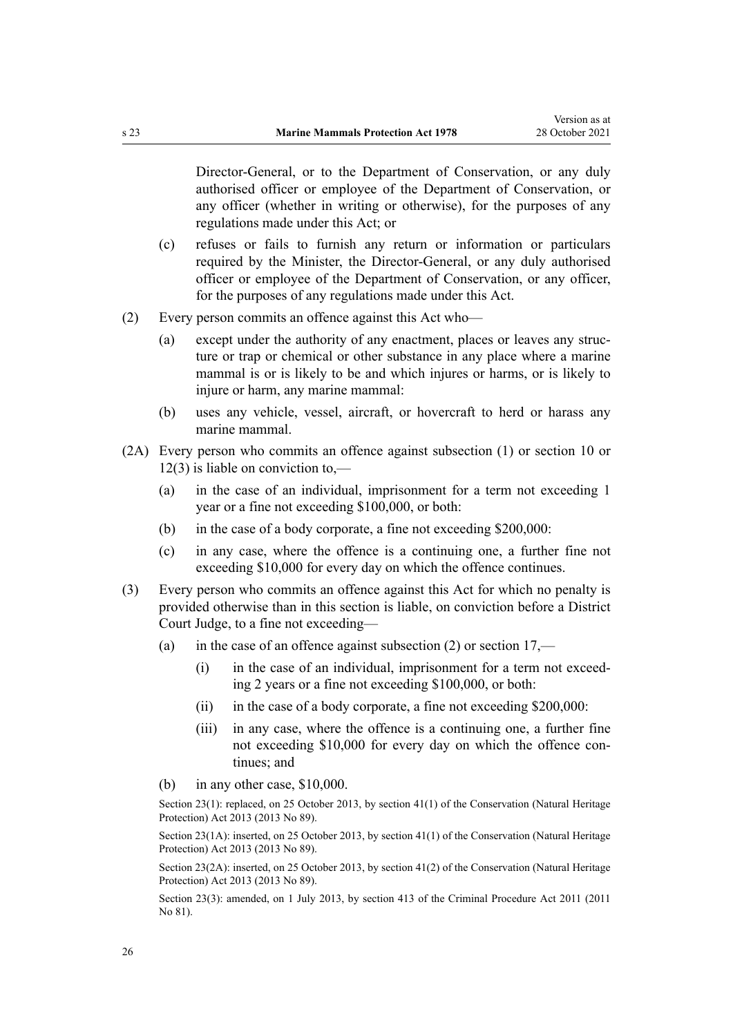Director-General, or to the Department of Conservation, or any duly authorised officer or employee of the Department of Conservation, or any officer (whether in writing or otherwise), for the purposes of any regulations made under this Act; or

- (c) refuses or fails to furnish any return or information or particulars required by the Minister, the Director-General, or any duly authorised officer or employee of the Department of Conservation, or any officer, for the purposes of any regulations made under this Act.
- (2) Every person commits an offence against this Act who—
	- (a) except under the authority of any enactment, places or leaves any struc‐ ture or trap or chemical or other substance in any place where a marine mammal is or is likely to be and which injures or harms, or is likely to injure or harm, any marine mammal:
	- (b) uses any vehicle, vessel, aircraft, or hovercraft to herd or harass any marine mammal.
- (2A) Every person who commits an offence against subsection (1) or [section 10](#page-16-0) or [12\(3\)](#page-17-0) is liable on conviction to,—
	- (a) in the case of an individual, imprisonment for a term not exceeding 1 year or a fine not exceeding \$100,000, or both:
	- (b) in the case of a body corporate, a fine not exceeding \$200,000:
	- (c) in any case, where the offence is a continuing one, a further fine not exceeding \$10,000 for every day on which the offence continues.
- (3) Every person who commits an offence against this Act for which no penalty is provided otherwise than in this section is liable, on conviction before a District Court Judge, to a fine not exceeding—
	- (a) in the case of an offence against subsection  $(2)$  or section  $17$ ,—
		- (i) in the case of an individual, imprisonment for a term not exceeding 2 years or a fine not exceeding \$100,000, or both:
		- (ii) in the case of a body corporate, a fine not exceeding \$200,000:
		- (iii) in any case, where the offence is a continuing one, a further fine not exceeding \$10,000 for every day on which the offence continues; and
	- (b) in any other case, \$10,000.

Section 23(1): replaced, on 25 October 2013, by [section 41\(1\)](http://legislation.govt.nz/pdflink.aspx?id=DLM5469536) of the Conservation (Natural Heritage Protection) Act 2013 (2013 No 89).

Section 23(1A): inserted, on 25 October 2013, by [section 41\(1\)](http://legislation.govt.nz/pdflink.aspx?id=DLM5469536) of the Conservation (Natural Heritage Protection) Act 2013 (2013 No 89).

Section 23(2A): inserted, on 25 October 2013, by [section 41\(2\)](http://legislation.govt.nz/pdflink.aspx?id=DLM5469536) of the Conservation (Natural Heritage Protection) Act 2013 (2013 No 89).

Section 23(3): amended, on 1 July 2013, by [section 413](http://legislation.govt.nz/pdflink.aspx?id=DLM3360714) of the Criminal Procedure Act 2011 (2011 No 81).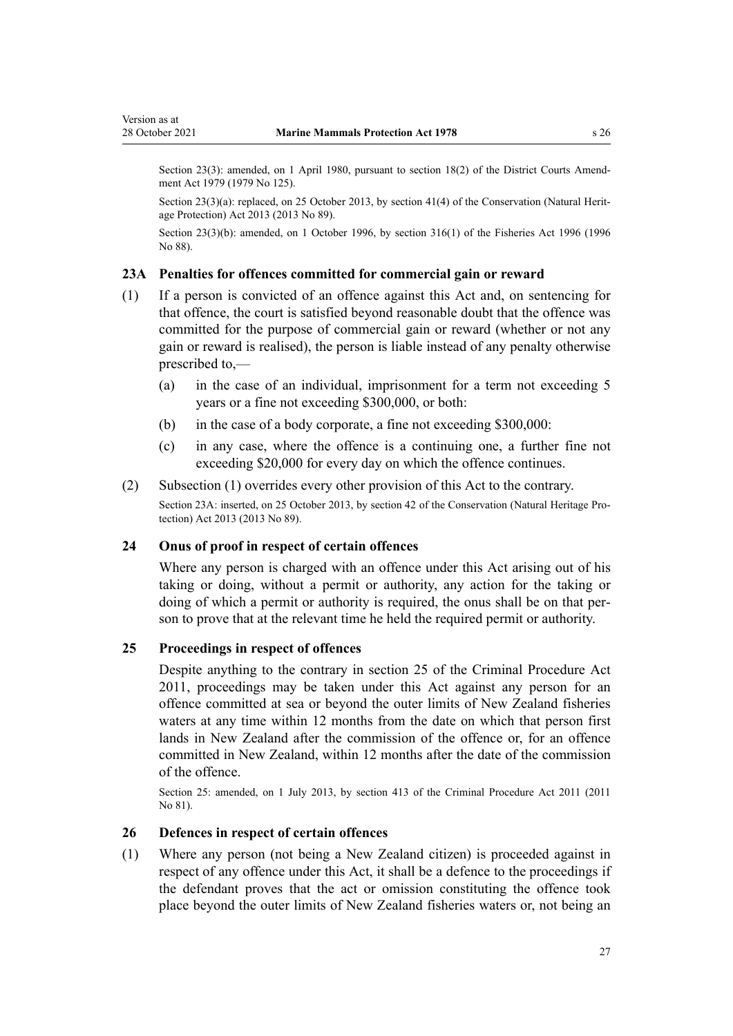<span id="page-26-0"></span>Section 23(3): amended, on 1 April 1980, pursuant to [section 18\(2\)](http://legislation.govt.nz/pdflink.aspx?id=DLM35085) of the District Courts Amendment Act 1979 (1979 No 125).

Section 23(3)(a): replaced, on 25 October 2013, by [section 41\(4\)](http://legislation.govt.nz/pdflink.aspx?id=DLM5469536) of the Conservation (Natural Heritage Protection) Act 2013 (2013 No 89).

Section 23(3)(b): amended, on 1 October 1996, by [section 316\(1\)](http://legislation.govt.nz/pdflink.aspx?id=DLM399975) of the Fisheries Act 1996 (1996 No 88).

#### **23A Penalties for offences committed for commercial gain or reward**

- (1) If a person is convicted of an offence against this Act and, on sentencing for that offence, the court is satisfied beyond reasonable doubt that the offence was committed for the purpose of commercial gain or reward (whether or not any gain or reward is realised), the person is liable instead of any penalty otherwise prescribed to,—
	- (a) in the case of an individual, imprisonment for a term not exceeding 5 years or a fine not exceeding \$300,000, or both:
	- (b) in the case of a body corporate, a fine not exceeding \$300,000:
	- (c) in any case, where the offence is a continuing one, a further fine not exceeding \$20,000 for every day on which the offence continues.
- (2) Subsection (1) overrides every other provision of this Act to the contrary.

Section 23A: inserted, on 25 October 2013, by [section 42](http://legislation.govt.nz/pdflink.aspx?id=DLM5469537) of the Conservation (Natural Heritage Protection) Act 2013 (2013 No 89).

### **24 Onus of proof in respect of certain offences**

Where any person is charged with an offence under this Act arising out of his taking or doing, without a permit or authority, any action for the taking or doing of which a permit or authority is required, the onus shall be on that person to prove that at the relevant time he held the required permit or authority.

### **25 Proceedings in respect of offences**

Despite anything to the contrary in [section 25](http://legislation.govt.nz/pdflink.aspx?id=DLM3360067) of the Criminal Procedure Act 2011, proceedings may be taken under this Act against any person for an offence committed at sea or beyond the outer limits of New Zealand fisheries waters at any time within 12 months from the date on which that person first lands in New Zealand after the commission of the offence or, for an offence committed in New Zealand, within 12 months after the date of the commission of the offence.

Section 25: amended, on 1 July 2013, by [section 413](http://legislation.govt.nz/pdflink.aspx?id=DLM3360714) of the Criminal Procedure Act 2011 (2011 No 81).

### **26 Defences in respect of certain offences**

(1) Where any person (not being a New Zealand citizen) is proceeded against in respect of any offence under this Act, it shall be a defence to the proceedings if the defendant proves that the act or omission constituting the offence took place beyond the outer limits of New Zealand fisheries waters or, not being an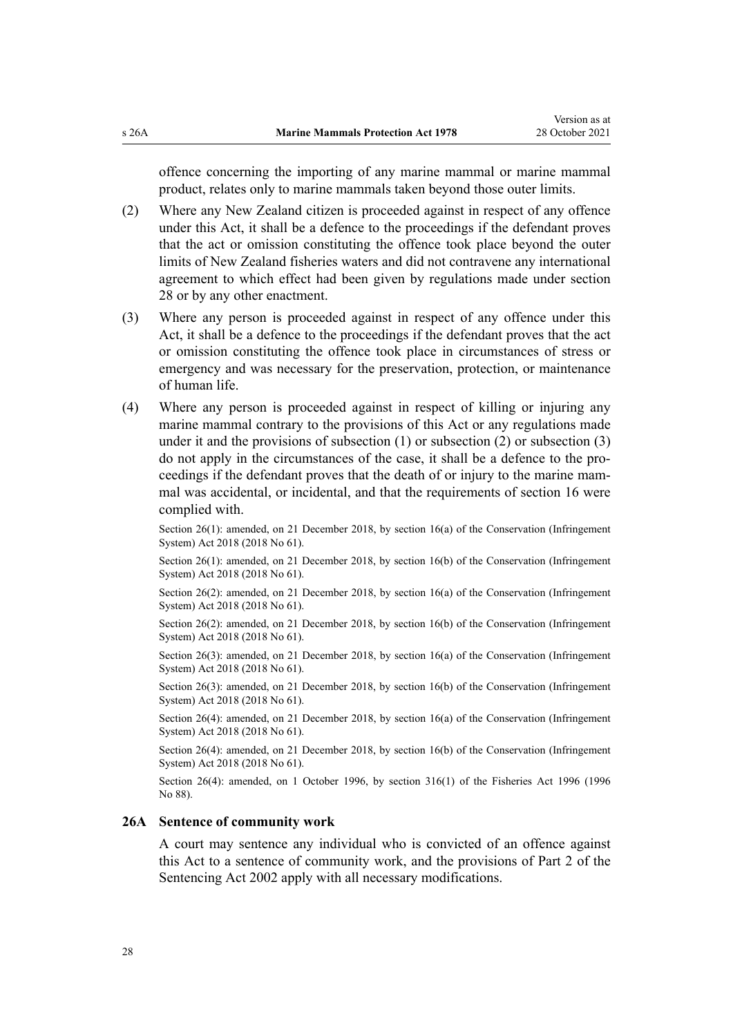<span id="page-27-0"></span>offence concerning the importing of any marine mammal or marine mammal product, relates only to marine mammals taken beyond those outer limits.

- (2) Where any New Zealand citizen is proceeded against in respect of any offence under this Act, it shall be a defence to the proceedings if the defendant proves that the act or omission constituting the offence took place beyond the outer limits of New Zealand fisheries waters and did not contravene any international agreement to which effect had been given by regulations made under [section](#page-31-0) [28](#page-31-0) or by any other enactment.
- (3) Where any person is proceeded against in respect of any offence under this Act, it shall be a defence to the proceedings if the defendant proves that the act or omission constituting the offence took place in circumstances of stress or emergency and was necessary for the preservation, protection, or maintenance of human life.
- (4) Where any person is proceeded against in respect of killing or injuring any marine mammal contrary to the provisions of this Act or any regulations made under it and the provisions of subsection (1) or subsection (2) or subsection (3) do not apply in the circumstances of the case, it shall be a defence to the pro‐ ceedings if the defendant proves that the death of or injury to the marine mammal was accidental, or incidental, and that the requirements of [section 16](#page-19-0) were complied with.

Section 26(1): amended, on 21 December 2018, by [section 16\(a\)](http://legislation.govt.nz/pdflink.aspx?id=DLM7116194) of the Conservation (Infringement System) Act 2018 (2018 No 61).

Section 26(1): amended, on 21 December 2018, by [section 16\(b\)](http://legislation.govt.nz/pdflink.aspx?id=DLM7116194) of the Conservation (Infringement System) Act 2018 (2018 No 61).

Section 26(2): amended, on 21 December 2018, by [section 16\(a\)](http://legislation.govt.nz/pdflink.aspx?id=DLM7116194) of the Conservation (Infringement System) Act 2018 (2018 No 61).

Section 26(2): amended, on 21 December 2018, by [section 16\(b\)](http://legislation.govt.nz/pdflink.aspx?id=DLM7116194) of the Conservation (Infringement System) Act 2018 (2018 No 61).

Section 26(3): amended, on 21 December 2018, by [section 16\(a\)](http://legislation.govt.nz/pdflink.aspx?id=DLM7116194) of the Conservation (Infringement System) Act 2018 (2018 No 61).

Section 26(3): amended, on 21 December 2018, by [section 16\(b\)](http://legislation.govt.nz/pdflink.aspx?id=DLM7116194) of the Conservation (Infringement System) Act 2018 (2018 No 61).

Section 26(4): amended, on 21 December 2018, by [section 16\(a\)](http://legislation.govt.nz/pdflink.aspx?id=DLM7116194) of the Conservation (Infringement System) Act 2018 (2018 No 61).

Section 26(4): amended, on 21 December 2018, by [section 16\(b\)](http://legislation.govt.nz/pdflink.aspx?id=DLM7116194) of the Conservation (Infringement System) Act 2018 (2018 No 61).

Section 26(4): amended, on 1 October 1996, by [section 316\(1\)](http://legislation.govt.nz/pdflink.aspx?id=DLM399975) of the Fisheries Act 1996 (1996 No 88).

#### **26A Sentence of community work**

A court may sentence any individual who is convicted of an offence against this Act to a sentence of community work, and the provisions of [Part 2](http://legislation.govt.nz/pdflink.aspx?id=DLM135593) of the Sentencing Act 2002 apply with all necessary modifications.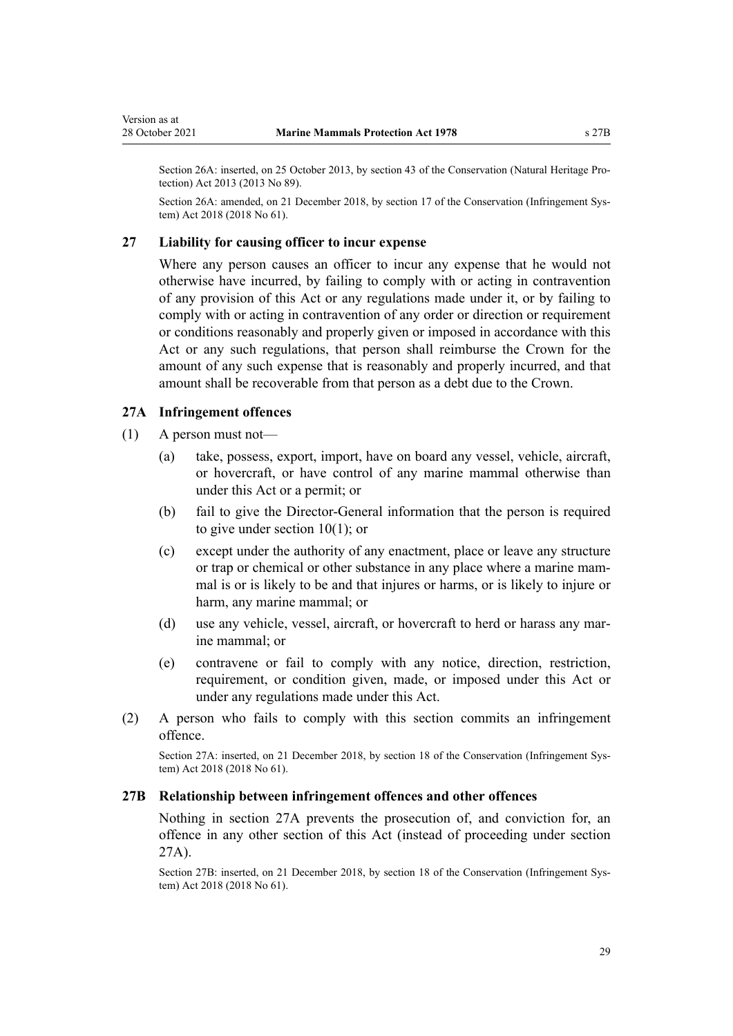<span id="page-28-0"></span>Section 26A: inserted, on 25 October 2013, by [section 43](http://legislation.govt.nz/pdflink.aspx?id=DLM5469539) of the Conservation (Natural Heritage Pro‐ tection) Act 2013 (2013 No 89).

Section 26A: amended, on 21 December 2018, by [section 17](http://legislation.govt.nz/pdflink.aspx?id=DLM7116195) of the Conservation (Infringement System) Act 2018 (2018 No 61).

#### **27 Liability for causing officer to incur expense**

Where any person causes an officer to incur any expense that he would not otherwise have incurred, by failing to comply with or acting in contravention of any provision of this Act or any regulations made under it, or by failing to comply with or acting in contravention of any order or direction or requirement or conditions reasonably and properly given or imposed in accordance with this Act or any such regulations, that person shall reimburse the Crown for the amount of any such expense that is reasonably and properly incurred, and that amount shall be recoverable from that person as a debt due to the Crown.

#### **27A Infringement offences**

- (1) A person must not—
	- (a) take, possess, export, import, have on board any vessel, vehicle, aircraft, or hovercraft, or have control of any marine mammal otherwise than under this Act or a permit; or
	- (b) fail to give the Director-General information that the person is required to give under [section 10\(1\)](#page-16-0); or
	- (c) except under the authority of any enactment, place or leave any structure or trap or chemical or other substance in any place where a marine mam‐ mal is or is likely to be and that injures or harms, or is likely to injure or harm, any marine mammal; or
	- (d) use any vehicle, vessel, aircraft, or hovercraft to herd or harass any mar‐ ine mammal; or
	- (e) contravene or fail to comply with any notice, direction, restriction, requirement, or condition given, made, or imposed under this Act or under any regulations made under this Act.
- (2) A person who fails to comply with this section commits an infringement offence.

Section 27A: inserted, on 21 December 2018, by [section 18](http://legislation.govt.nz/pdflink.aspx?id=DLM7116196) of the Conservation (Infringement System) Act 2018 (2018 No 61).

#### **27B Relationship between infringement offences and other offences**

Nothing in section 27A prevents the prosecution of, and conviction for, an offence in any other section of this Act (instead of proceeding under section 27A).

Section 27B: inserted, on 21 December 2018, by [section 18](http://legislation.govt.nz/pdflink.aspx?id=DLM7116196) of the Conservation (Infringement Sys‐ tem) Act 2018 (2018 No 61).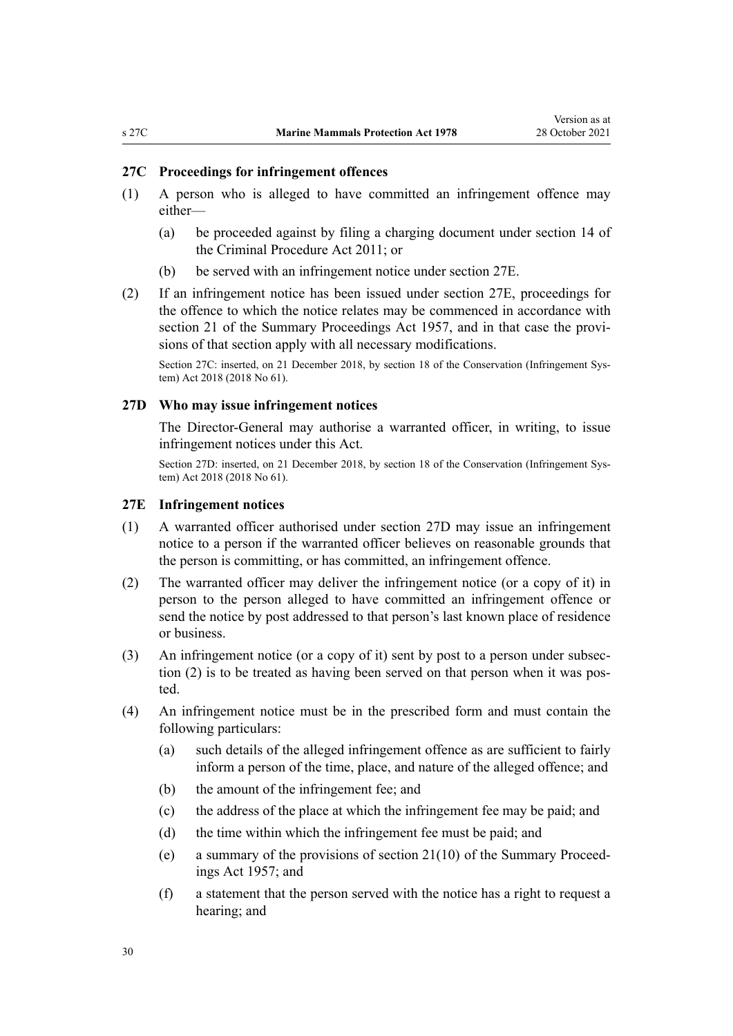### <span id="page-29-0"></span>**27C Proceedings for infringement offences**

- (1) A person who is alleged to have committed an infringement offence may either—
	- (a) be proceeded against by filing a charging document under [section 14](http://legislation.govt.nz/pdflink.aspx?id=DLM3360057) of the Criminal Procedure Act 2011; or
	- (b) be served with an infringement notice under section 27E.
- (2) If an infringement notice has been issued under section 27E, proceedings for the offence to which the notice relates may be commenced in accordance with [section 21](http://legislation.govt.nz/pdflink.aspx?id=DLM311346) of the Summary Proceedings Act 1957, and in that case the provisions of that section apply with all necessary modifications.

Section 27C: inserted, on 21 December 2018, by [section 18](http://legislation.govt.nz/pdflink.aspx?id=DLM7116196) of the Conservation (Infringement System) Act 2018 (2018 No 61).

### **27D Who may issue infringement notices**

The Director-General may authorise a warranted officer, in writing, to issue infringement notices under this Act.

Section 27D: inserted, on 21 December 2018, by [section 18](http://legislation.govt.nz/pdflink.aspx?id=DLM7116196) of the Conservation (Infringement System) Act 2018 (2018 No 61).

### **27E Infringement notices**

- (1) A warranted officer authorised under section 27D may issue an infringement notice to a person if the warranted officer believes on reasonable grounds that the person is committing, or has committed, an infringement offence.
- (2) The warranted officer may deliver the infringement notice (or a copy of it) in person to the person alleged to have committed an infringement offence or send the notice by post addressed to that person's last known place of residence or business.
- (3) An infringement notice (or a copy of it) sent by post to a person under subsec‐ tion (2) is to be treated as having been served on that person when it was posted.
- (4) An infringement notice must be in the prescribed form and must contain the following particulars:
	- (a) such details of the alleged infringement offence as are sufficient to fairly inform a person of the time, place, and nature of the alleged offence; and
	- (b) the amount of the infringement fee; and
	- (c) the address of the place at which the infringement fee may be paid; and
	- (d) the time within which the infringement fee must be paid; and
	- (e) a summary of the provisions of section  $21(10)$  of the Summary Proceedings Act 1957; and
	- (f) a statement that the person served with the notice has a right to request a hearing; and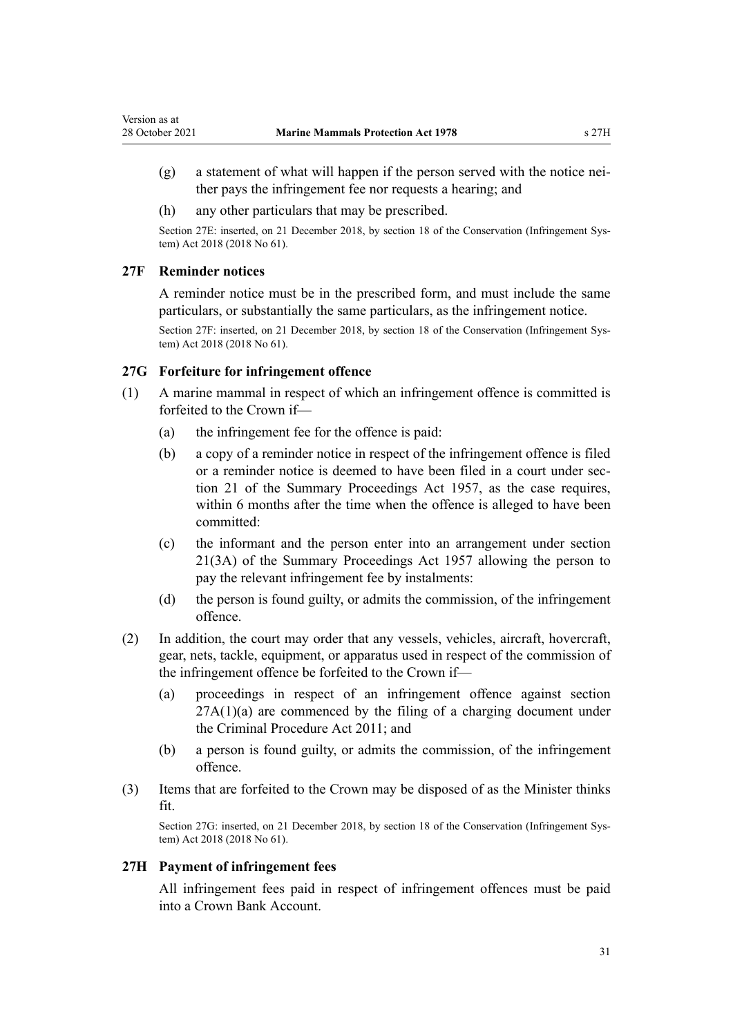- <span id="page-30-0"></span> $(g)$  a statement of what will happen if the person served with the notice neither pays the infringement fee nor requests a hearing; and
- (h) any other particulars that may be prescribed.

Section 27E: inserted, on 21 December 2018, by [section 18](http://legislation.govt.nz/pdflink.aspx?id=DLM7116196) of the Conservation (Infringement System) Act 2018 (2018 No 61).

### **27F Reminder notices**

A reminder notice must be in the prescribed form, and must include the same particulars, or substantially the same particulars, as the infringement notice.

Section 27F: inserted, on 21 December 2018, by [section 18](http://legislation.govt.nz/pdflink.aspx?id=DLM7116196) of the Conservation (Infringement System) Act 2018 (2018 No 61).

### **27G Forfeiture for infringement offence**

- (1) A marine mammal in respect of which an infringement offence is committed is forfeited to the Crown if—
	- (a) the infringement fee for the offence is paid:
	- (b) a copy of a reminder notice in respect of the infringement offence is filed or a reminder notice is deemed to have been filed in a court under sec[tion 21](http://legislation.govt.nz/pdflink.aspx?id=DLM311346) of the Summary Proceedings Act 1957, as the case requires, within 6 months after the time when the offence is alleged to have been committed:
	- (c) the informant and the person enter into an arrangement under [section](http://legislation.govt.nz/pdflink.aspx?id=DLM311346) [21\(3A\)](http://legislation.govt.nz/pdflink.aspx?id=DLM311346) of the Summary Proceedings Act 1957 allowing the person to pay the relevant infringement fee by instalments:
	- (d) the person is found guilty, or admits the commission, of the infringement offence.
- (2) In addition, the court may order that any vessels, vehicles, aircraft, hovercraft, gear, nets, tackle, equipment, or apparatus used in respect of the commission of the infringement offence be forfeited to the Crown if—
	- (a) proceedings in respect of an infringement offence against [section](#page-28-0)  $27A(1)(a)$  are commenced by the filing of a charging document under the [Criminal Procedure Act 2011](http://legislation.govt.nz/pdflink.aspx?id=DLM3359902); and
	- (b) a person is found guilty, or admits the commission, of the infringement offence.
- (3) Items that are forfeited to the Crown may be disposed of as the Minister thinks fit.

Section 27G: inserted, on 21 December 2018, by [section 18](http://legislation.govt.nz/pdflink.aspx?id=DLM7116196) of the Conservation (Infringement System) Act 2018 (2018 No 61).

### **27H Payment of infringement fees**

All infringement fees paid in respect of infringement offences must be paid into a Crown Bank Account.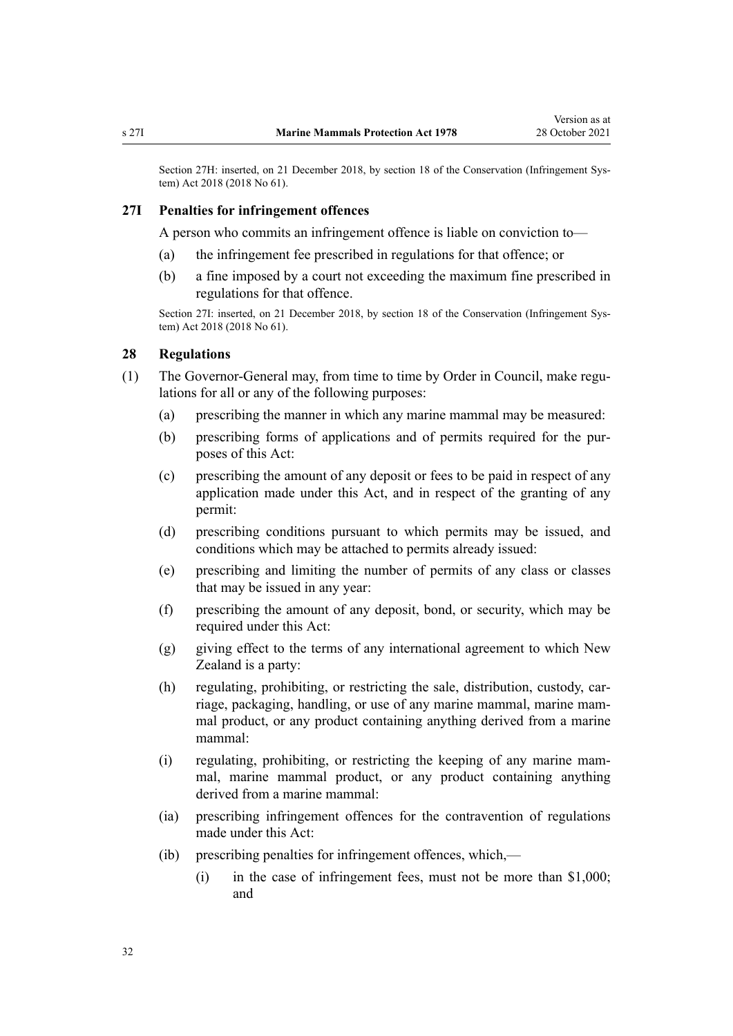<span id="page-31-0"></span>Section 27H: inserted, on 21 December 2018, by [section 18](http://legislation.govt.nz/pdflink.aspx?id=DLM7116196) of the Conservation (Infringement System) Act 2018 (2018 No 61).

### **27I Penalties for infringement offences**

A person who commits an infringement offence is liable on conviction to—

- (a) the infringement fee prescribed in regulations for that offence; or
- (b) a fine imposed by a court not exceeding the maximum fine prescribed in regulations for that offence.

Section 27I: inserted, on 21 December 2018, by [section 18](http://legislation.govt.nz/pdflink.aspx?id=DLM7116196) of the Conservation (Infringement System) Act 2018 (2018 No 61).

### **28 Regulations**

- (1) The Governor-General may, from time to time by Order in Council, make regu‐ lations for all or any of the following purposes:
	- (a) prescribing the manner in which any marine mammal may be measured:
	- (b) prescribing forms of applications and of permits required for the purposes of this Act:
	- (c) prescribing the amount of any deposit or fees to be paid in respect of any application made under this Act, and in respect of the granting of any permit:
	- (d) prescribing conditions pursuant to which permits may be issued, and conditions which may be attached to permits already issued:
	- (e) prescribing and limiting the number of permits of any class or classes that may be issued in any year:
	- (f) prescribing the amount of any deposit, bond, or security, which may be required under this Act:
	- (g) giving effect to the terms of any international agreement to which New Zealand is a party:
	- (h) regulating, prohibiting, or restricting the sale, distribution, custody, carriage, packaging, handling, or use of any marine mammal, marine mam‐ mal product, or any product containing anything derived from a marine mammal:
	- (i) regulating, prohibiting, or restricting the keeping of any marine mam‐ mal, marine mammal product, or any product containing anything derived from a marine mammal:
	- (ia) prescribing infringement offences for the contravention of regulations made under this Act:
	- (ib) prescribing penalties for infringement offences, which,—
		- (i) in the case of infringement fees, must not be more than \$1,000; and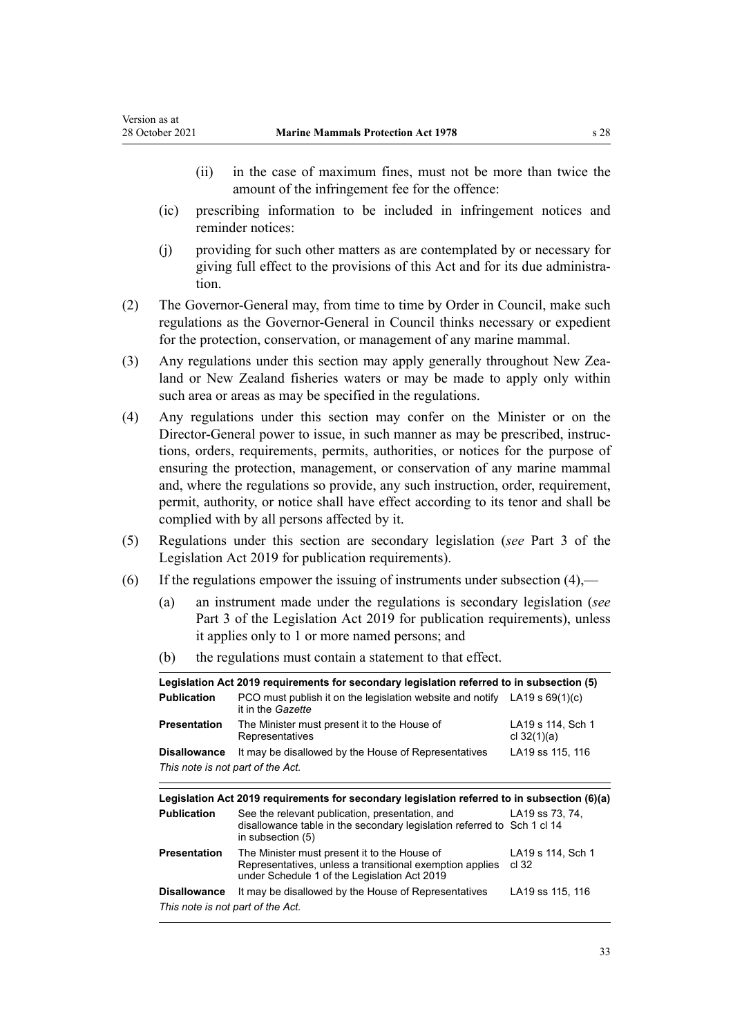- (ii) in the case of maximum fines, must not be more than twice the amount of the infringement fee for the offence:
- (ic) prescribing information to be included in infringement notices and reminder notices:
- (j) providing for such other matters as are contemplated by or necessary for giving full effect to the provisions of this Act and for its due administra‐ tion.
- (2) The Governor-General may, from time to time by Order in Council, make such regulations as the Governor-General in Council thinks necessary or expedient for the protection, conservation, or management of any marine mammal.
- (3) Any regulations under this section may apply generally throughout New Zea‐ land or New Zealand fisheries waters or may be made to apply only within such area or areas as may be specified in the regulations.
- (4) Any regulations under this section may confer on the Minister or on the Director-General power to issue, in such manner as may be prescribed, instruc‐ tions, orders, requirements, permits, authorities, or notices for the purpose of ensuring the protection, management, or conservation of any marine mammal and, where the regulations so provide, any such instruction, order, requirement, permit, authority, or notice shall have effect according to its tenor and shall be complied with by all persons affected by it.
- (5) Regulations under this section are secondary legislation (*see* [Part 3](http://legislation.govt.nz/pdflink.aspx?id=DLM7298343) of the Legislation Act 2019 for publication requirements).
- (6) If the regulations empower the issuing of instruments under subsection  $(4)$ ,—
	- (a) an instrument made under the regulations is secondary legislation (*see* [Part 3](http://legislation.govt.nz/pdflink.aspx?id=DLM7298343) of the Legislation Act 2019 for publication requirements), unless it applies only to 1 or more named persons; and
	- (b) the regulations must contain a statement to that effect.

|                                   | Legislation Act 2019 requirements for secondary legislation referred to in subsection (5)                                                                |                                    |
|-----------------------------------|----------------------------------------------------------------------------------------------------------------------------------------------------------|------------------------------------|
| <b>Publication</b>                | PCO must publish it on the legislation website and notify LA19 s $69(1)(c)$<br>it in the <i>Gazette</i>                                                  |                                    |
| <b>Presentation</b>               | The Minister must present it to the House of<br>Representatives                                                                                          | LA19 s 114, Sch 1<br>cl $32(1)(a)$ |
| <b>Disallowance</b>               | It may be disallowed by the House of Representatives                                                                                                     | LA19 ss 115, 116                   |
| This note is not part of the Act. |                                                                                                                                                          |                                    |
|                                   |                                                                                                                                                          |                                    |
|                                   | Legislation Act 2019 requirements for secondary legislation referred to in subsection (6)(a)                                                             |                                    |
|                                   |                                                                                                                                                          |                                    |
| <b>Publication</b>                | See the relevant publication, presentation, and<br>disallowance table in the secondary legislation referred to Sch 1 cl 14<br>in subsection (5)          | LA19 ss 73, 74.                    |
| <b>Presentation</b>               | The Minister must present it to the House of<br>Representatives, unless a transitional exemption applies<br>under Schedule 1 of the Legislation Act 2019 | LA19 s 114, Sch 1<br>cl.32         |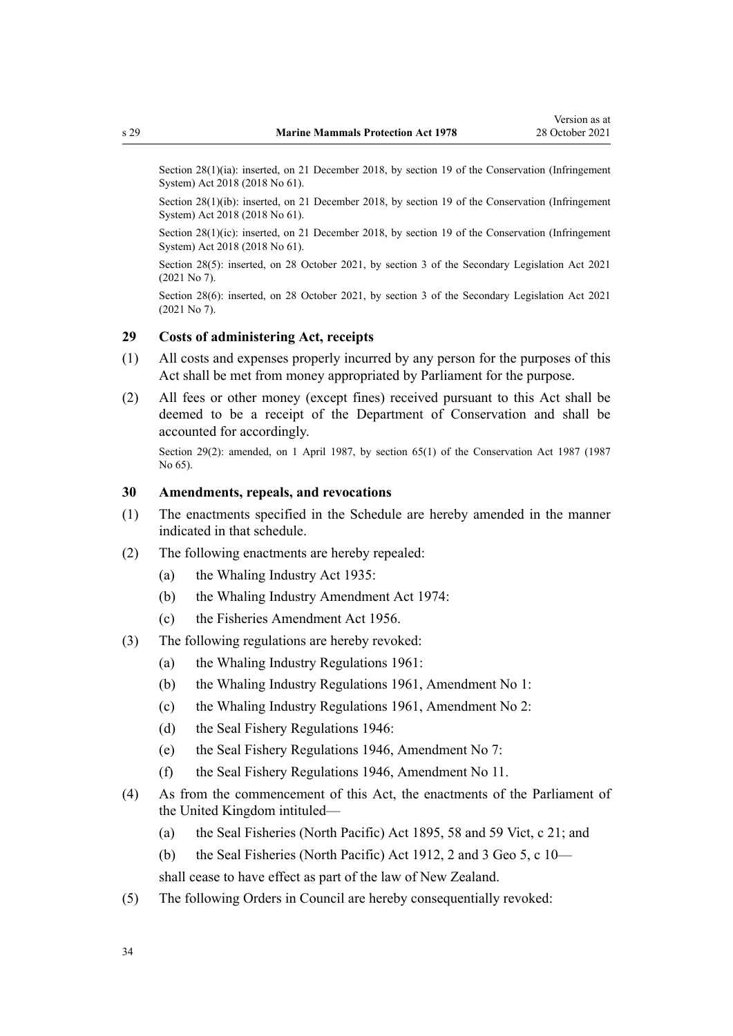<span id="page-33-0"></span>Section 28(1)(ia): inserted, on 21 December 2018, by [section 19](http://legislation.govt.nz/pdflink.aspx?id=DLM7116206) of the Conservation (Infringement System) Act 2018 (2018 No 61).

Section 28(1)(ib): inserted, on 21 December 2018, by [section 19](http://legislation.govt.nz/pdflink.aspx?id=DLM7116206) of the Conservation (Infringement System) Act 2018 (2018 No 61).

Section 28(1)(ic): inserted, on 21 December 2018, by [section 19](http://legislation.govt.nz/pdflink.aspx?id=DLM7116206) of the Conservation (Infringement System) Act 2018 (2018 No 61).

Section 28(5): inserted, on 28 October 2021, by [section 3](http://legislation.govt.nz/pdflink.aspx?id=LMS268932) of the Secondary Legislation Act 2021 (2021 No 7).

Section 28(6): inserted, on 28 October 2021, by [section 3](http://legislation.govt.nz/pdflink.aspx?id=LMS268932) of the Secondary Legislation Act 2021 (2021 No 7).

### **29 Costs of administering Act, receipts**

- (1) All costs and expenses properly incurred by any person for the purposes of this Act shall be met from money appropriated by Parliament for the purpose.
- (2) All fees or other money (except fines) received pursuant to this Act shall be deemed to be a receipt of the Department of Conservation and shall be accounted for accordingly.

Section 29(2): amended, on 1 April 1987, by [section 65\(1\)](http://legislation.govt.nz/pdflink.aspx?id=DLM106995) of the Conservation Act 1987 (1987) No 65).

### **30 Amendments, repeals, and revocations**

- (1) The enactments specified in the [Schedule](#page-35-0) are hereby amended in the manner indicated in that schedule.
- (2) The following enactments are hereby repealed:
	- (a) the Whaling Industry Act 1935:
	- (b) the Whaling Industry Amendment Act 1974:
	- (c) the Fisheries Amendment Act 1956.
- (3) The following regulations are hereby revoked:
	- (a) the Whaling Industry Regulations 1961:
	- (b) the Whaling Industry Regulations 1961, Amendment No 1:
	- (c) the Whaling Industry Regulations 1961, Amendment No 2:
	- (d) the Seal Fishery Regulations 1946:
	- (e) the Seal Fishery Regulations 1946, Amendment No 7:
	- (f) the Seal Fishery Regulations 1946, Amendment No 11.
- (4) As from the commencement of this Act, the enactments of the Parliament of the United Kingdom intituled—
	- (a) the Seal Fisheries (North Pacific) Act 1895, 58 and 59 Vict, c 21; and
	- (b) the Seal Fisheries (North Pacific) Act 1912, 2 and 3 Geo 5, c 10—

shall cease to have effect as part of the law of New Zealand.

(5) The following Orders in Council are hereby consequentially revoked: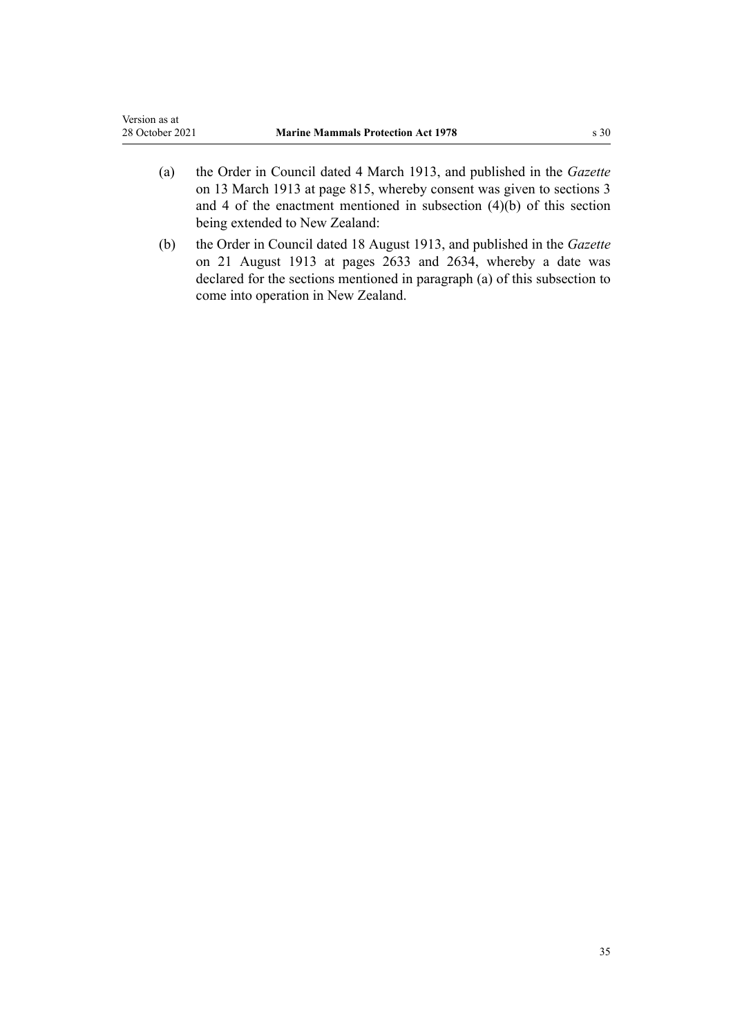- (a) the Order in Council dated 4 March 1913, and published in the *Gazette* on 13 March 1913 at page 815, whereby consent was given to sections 3 and 4 of the enactment mentioned in subsection (4)(b) of this section being extended to New Zealand:
- (b) the Order in Council dated 18 August 1913, and published in the *Gazette* on 21 August 1913 at pages 2633 and 2634, whereby a date was declared for the sections mentioned in paragraph (a) of this subsection to come into operation in New Zealand.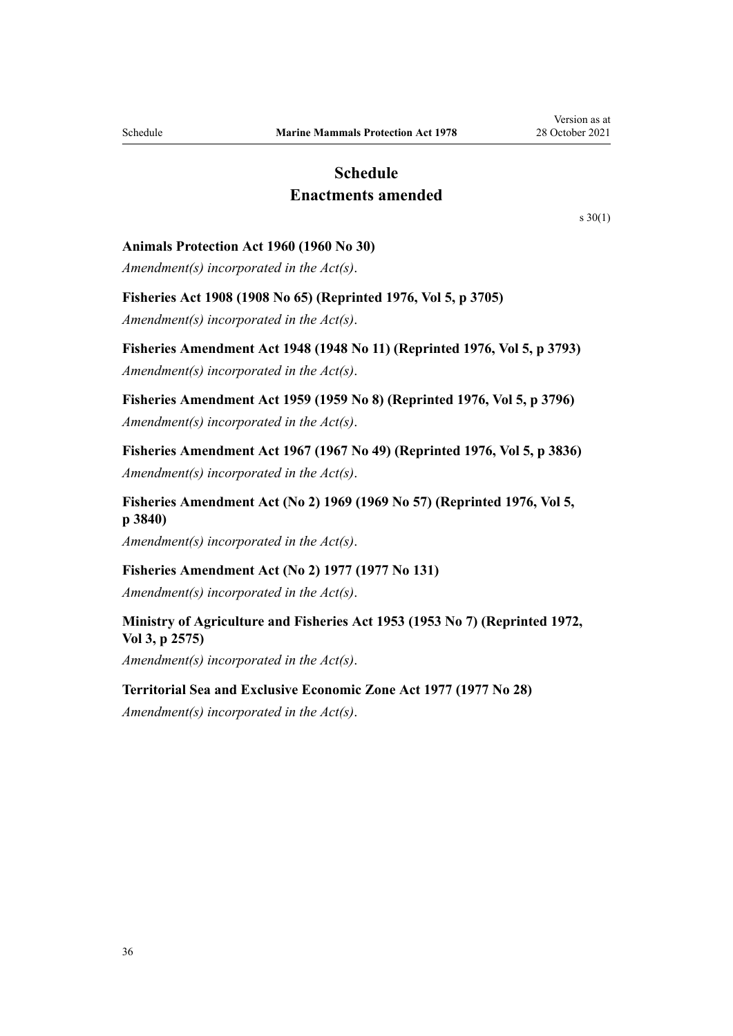# **Schedule Enactments amended**

[s 30\(1\)](#page-33-0)

#### <span id="page-35-0"></span>**Animals Protection Act 1960 (1960 No 30)**

*Amendment(s) incorporated in the Act(s)*.

### **Fisheries Act 1908 (1908 No 65) (Reprinted 1976, Vol 5, p 3705)**

*Amendment(s) incorporated in the Act(s)*.

**Fisheries Amendment Act 1948 (1948 No 11) (Reprinted 1976, Vol 5, p 3793)** *Amendment(s) incorporated in the Act(s)*.

**Fisheries Amendment Act 1959 (1959 No 8) (Reprinted 1976, Vol 5, p 3796)** *Amendment(s) incorporated in the Act(s)*.

**Fisheries Amendment Act 1967 (1967 No 49) (Reprinted 1976, Vol 5, p 3836)** *Amendment(s) incorporated in the Act(s)*.

**Fisheries Amendment Act (No 2) 1969 (1969 No 57) (Reprinted 1976, Vol 5, p 3840)**

*Amendment(s) incorporated in the Act(s)*.

### **Fisheries Amendment Act (No 2) 1977 (1977 No 131)**

*Amendment(s) incorporated in the Act(s)*.

### **Ministry of Agriculture and Fisheries Act 1953 (1953 No 7) (Reprinted 1972, Vol 3, p 2575)**

*Amendment(s) incorporated in the Act(s)*.

#### **Territorial Sea and Exclusive Economic Zone Act 1977 (1977 No 28)**

*Amendment(s) incorporated in the [Act\(s\)](http://legislation.govt.nz/pdflink.aspx?id=DLM442578)*.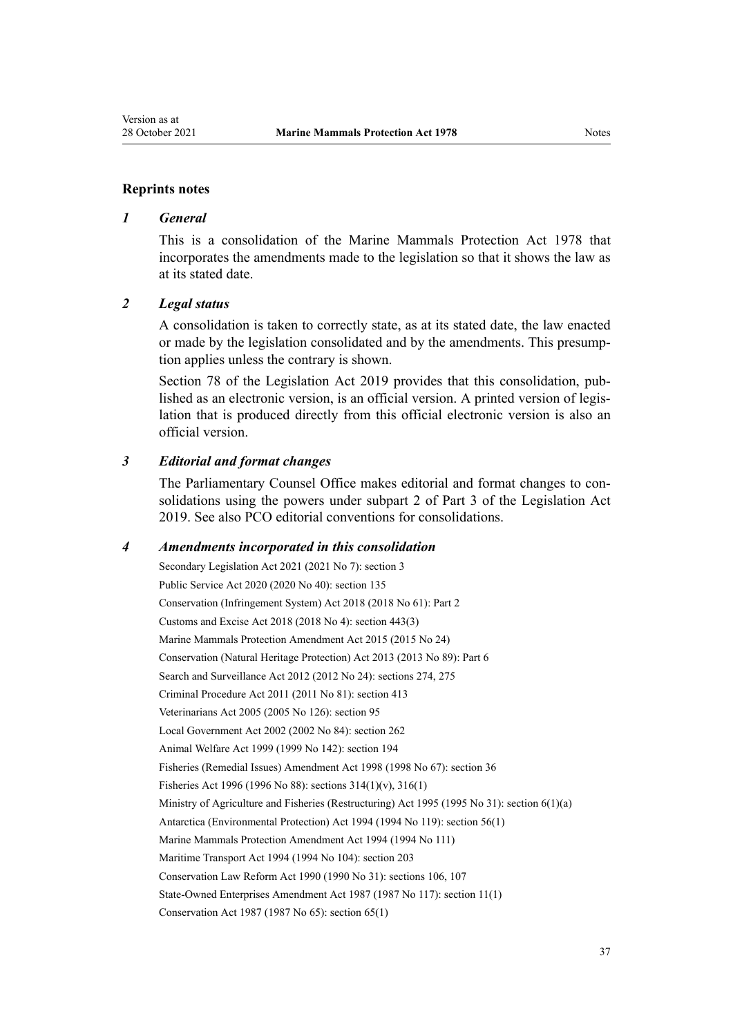#### **Reprints notes**

### *1 General*

This is a consolidation of the Marine Mammals Protection Act 1978 that incorporates the amendments made to the legislation so that it shows the law as at its stated date.

### *2 Legal status*

A consolidation is taken to correctly state, as at its stated date, the law enacted or made by the legislation consolidated and by the amendments. This presump‐ tion applies unless the contrary is shown.

[Section 78](http://legislation.govt.nz/pdflink.aspx?id=DLM7298365) of the Legislation Act 2019 provides that this consolidation, published as an electronic version, is an official version. A printed version of legis‐ lation that is produced directly from this official electronic version is also an official version.

### *3 Editorial and format changes*

The Parliamentary Counsel Office makes editorial and format changes to con‐ solidations using the powers under [subpart 2](http://legislation.govt.nz/pdflink.aspx?id=DLM7298371) of Part 3 of the Legislation Act 2019. See also [PCO editorial conventions for consolidations](http://www.pco.govt.nz/editorial-conventions/).

### *4 Amendments incorporated in this consolidation*

Secondary Legislation Act 2021 (2021 No 7): [section 3](http://legislation.govt.nz/pdflink.aspx?id=LMS268932) Public Service Act 2020 (2020 No 40): [section 135](http://legislation.govt.nz/pdflink.aspx?id=LMS176959) Conservation (Infringement System) Act 2018 (2018 No 61): [Part 2](http://legislation.govt.nz/pdflink.aspx?id=DLM7116186) Customs and Excise Act 2018 (2018 No 4): [section 443\(3\)](http://legislation.govt.nz/pdflink.aspx?id=DLM7039957) [Marine Mammals Protection Amendment Act 2015](http://legislation.govt.nz/pdflink.aspx?id=DLM6413200) (2015 No 24) Conservation (Natural Heritage Protection) Act 2013 (2013 No 89): [Part 6](http://legislation.govt.nz/pdflink.aspx?id=DLM5469533) Search and Surveillance Act 2012 (2012 No 24): [sections 274,](http://legislation.govt.nz/pdflink.aspx?id=DLM4356800) [275](http://legislation.govt.nz/pdflink.aspx?id=DLM2137023) Criminal Procedure Act 2011 (2011 No 81): [section 413](http://legislation.govt.nz/pdflink.aspx?id=DLM3360714) Veterinarians Act 2005 (2005 No 126): [section 95](http://legislation.govt.nz/pdflink.aspx?id=DLM364659) Local Government Act 2002 (2002 No 84): [section 262](http://legislation.govt.nz/pdflink.aspx?id=DLM174088) Animal Welfare Act 1999 (1999 No 142): [section 194](http://legislation.govt.nz/pdflink.aspx?id=DLM51965) Fisheries (Remedial Issues) Amendment Act 1998 (1998 No 67): [section 36](http://legislation.govt.nz/pdflink.aspx?id=DLM427273) Fisheries Act 1996 (1996 No 88): [sections 314\(1\)\(v\)](http://legislation.govt.nz/pdflink.aspx?id=DLM399971), [316\(1\)](http://legislation.govt.nz/pdflink.aspx?id=DLM399975) Ministry of Agriculture and Fisheries (Restructuring) Act 1995 (1995 No 31): [section 6\(1\)\(a\)](http://legislation.govt.nz/pdflink.aspx?id=DLM366838) Antarctica (Environmental Protection) Act 1994 (1994 No 119): [section 56\(1\)](http://legislation.govt.nz/pdflink.aspx?id=DLM343623) Marine Mammals Protection Amendment Act 1994 (1994 No 111) Maritime Transport Act 1994 (1994 No 104): [section 203](http://legislation.govt.nz/pdflink.aspx?id=DLM336920) Conservation Law Reform Act 1990 (1990 No 31): [sections 106,](http://legislation.govt.nz/pdflink.aspx?id=DLM209173) [107](http://legislation.govt.nz/pdflink.aspx?id=DLM209182) State-Owned Enterprises Amendment Act 1987 (1987 No 117): section 11(1) Conservation Act 1987 (1987 No 65): [section 65\(1\)](http://legislation.govt.nz/pdflink.aspx?id=DLM106995)